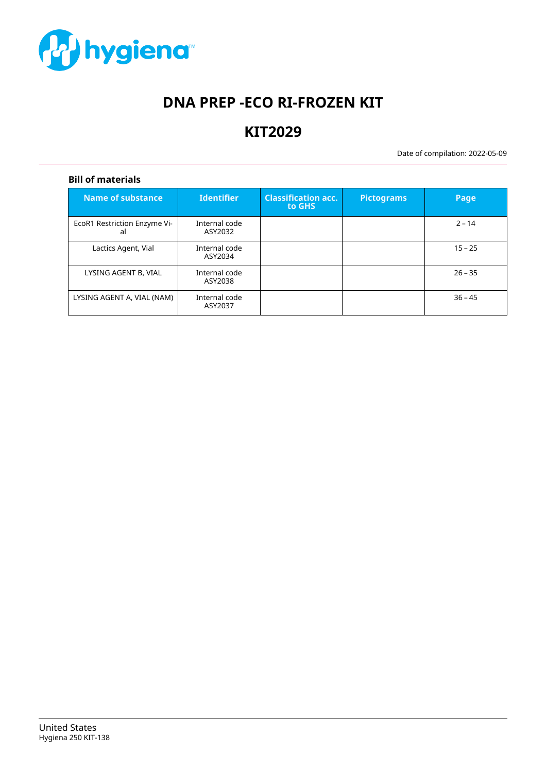

# **DNA PREP -ECO RI-FROZEN KIT**

# **KIT2029**

Date of compilation: 2022-05-09

# **Bill of materials**

| <b>Name of substance</b>           | <b>Identifier</b>        | <b>Classification acc.</b><br>to GHS | <b>Pictograms</b> | Page      |
|------------------------------------|--------------------------|--------------------------------------|-------------------|-----------|
| EcoR1 Restriction Enzyme Vi-<br>al | Internal code<br>ASY2032 |                                      |                   | $2 - 14$  |
| Lactics Agent, Vial                | Internal code<br>ASY2034 |                                      |                   | $15 - 25$ |
| LYSING AGENT B, VIAL               | Internal code<br>ASY2038 |                                      |                   | $26 - 35$ |
| LYSING AGENT A, VIAL (NAM)         | Internal code<br>ASY2037 |                                      |                   | $36 - 45$ |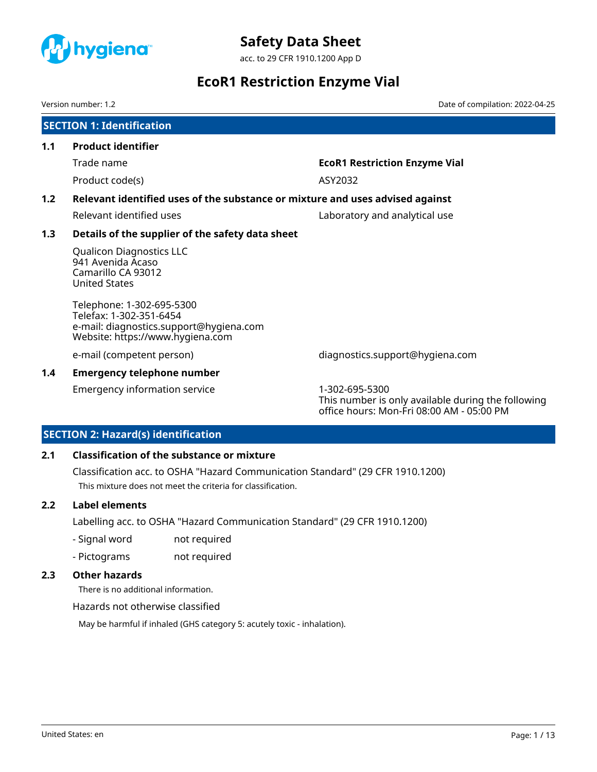<span id="page-1-0"></span>

acc. to 29 CFR 1910.1200 App D

# **EcoR1 Restriction Enzyme Vial**

Version number: 1.2 Date of compilation: 2022-04-25

|               | <b>SECTION 1: Identification</b>                                                                                                    |                                      |
|---------------|-------------------------------------------------------------------------------------------------------------------------------------|--------------------------------------|
| 1.1           | <b>Product identifier</b>                                                                                                           |                                      |
|               | Trade name                                                                                                                          | <b>EcoR1 Restriction Enzyme Vial</b> |
|               | Product code(s)                                                                                                                     | ASY2032                              |
| 1.2           | Relevant identified uses of the substance or mixture and uses advised against                                                       |                                      |
|               | Relevant identified uses                                                                                                            | Laboratory and analytical use        |
| 1.3           | Details of the supplier of the safety data sheet                                                                                    |                                      |
|               | <b>Qualicon Diagnostics LLC</b><br>941 Avenida Acaso<br>Camarillo CA 93012<br><b>United States</b>                                  |                                      |
|               | Telephone: 1-302-695-5300<br>Telefax: 1-302-351-6454<br>e-mail: diagnostics.support@hygiena.com<br>Website: https://www.hygiena.com |                                      |
|               | e-mail (competent person)                                                                                                           | diagnostics.support@hygiena.com      |
| $1.4^{\circ}$ | <b>Emergency telephone number</b>                                                                                                   |                                      |
|               |                                                                                                                                     |                                      |

Emergency information service 1-302-695-5300

This number is only available during the following office hours: Mon-Fri 08:00 AM - 05:00 PM

# **SECTION 2: Hazard(s) identification**

# **2.1 Classification of the substance or mixture**

Classification acc. to OSHA "Hazard Communication Standard" (29 CFR 1910.1200) This mixture does not meet the criteria for classification.

### **2.2 Label elements**

Labelling acc. to OSHA "Hazard Communication Standard" (29 CFR 1910.1200)

- Signal word not required
- Pictograms not required

# **2.3 Other hazards**

There is no additional information.

Hazards not otherwise classified

May be harmful if inhaled (GHS category 5: acutely toxic - inhalation).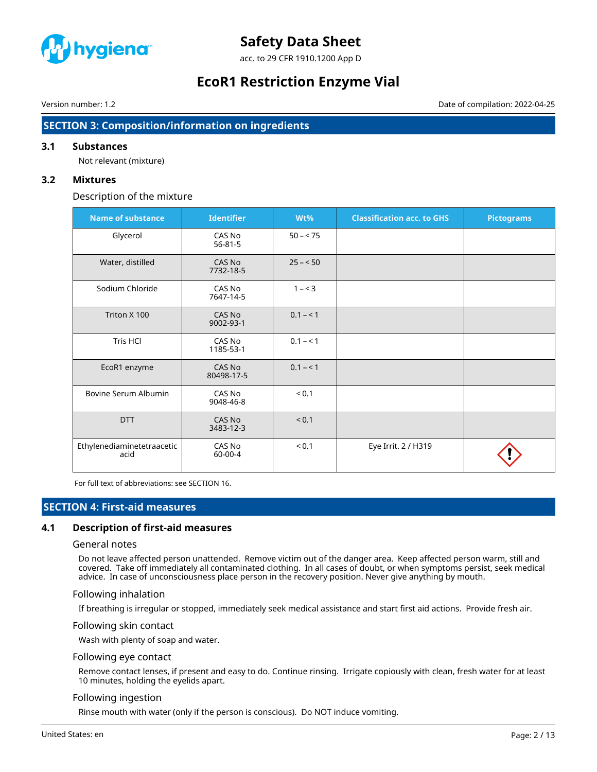

acc. to 29 CFR 1910.1200 App D

# **EcoR1 Restriction Enzyme Vial**

Version number: 1.2 Date of compilation: 2022-04-25

# **SECTION 3: Composition/information on ingredients**

### **3.1 Substances**

Not relevant (mixture)

### **3.2 Mixtures**

### Description of the mixture

| <b>Name of substance</b>           | <b>Identifier</b>       | Wt%        | <b>Classification acc. to GHS</b> | <b>Pictograms</b> |
|------------------------------------|-------------------------|------------|-----------------------------------|-------------------|
| Glycerol                           | CAS No<br>$56 - 81 - 5$ | $50 - 75$  |                                   |                   |
| Water, distilled                   | CAS No<br>7732-18-5     | $25 - 50$  |                                   |                   |
| Sodium Chloride                    | CAS No<br>7647-14-5     | $1 - 3$    |                                   |                   |
| Triton X 100                       | CAS No<br>9002-93-1     | $0.1 - 1$  |                                   |                   |
| Tris HCl                           | CAS No<br>1185-53-1     | $0.1 - 1$  |                                   |                   |
| EcoR1 enzyme                       | CAS No<br>80498-17-5    | $0.1 - 1$  |                                   |                   |
| Bovine Serum Albumin               | CAS No<br>9048-46-8     | ${}_{0.1}$ |                                   |                   |
| <b>DTT</b>                         | CAS No<br>3483-12-3     | < 0.1      |                                   |                   |
| Ethylenediaminetetraacetic<br>acid | CAS No<br>60-00-4       | < 0.1      | Eye Irrit. 2 / H319               |                   |

For full text of abbreviations: see SECTION 16.

# **SECTION 4: First-aid measures**

# **4.1 Description of first-aid measures**

#### General notes

Do not leave affected person unattended. Remove victim out of the danger area. Keep affected person warm, still and covered. Take off immediately all contaminated clothing. In all cases of doubt, or when symptoms persist, seek medical advice. In case of unconsciousness place person in the recovery position. Never give anything by mouth.

#### Following inhalation

If breathing is irregular or stopped, immediately seek medical assistance and start first aid actions. Provide fresh air.

#### Following skin contact

Wash with plenty of soap and water.

#### Following eye contact

Remove contact lenses, if present and easy to do. Continue rinsing. Irrigate copiously with clean, fresh water for at least 10 minutes, holding the eyelids apart.

### Following ingestion

Rinse mouth with water (only if the person is conscious). Do NOT induce vomiting.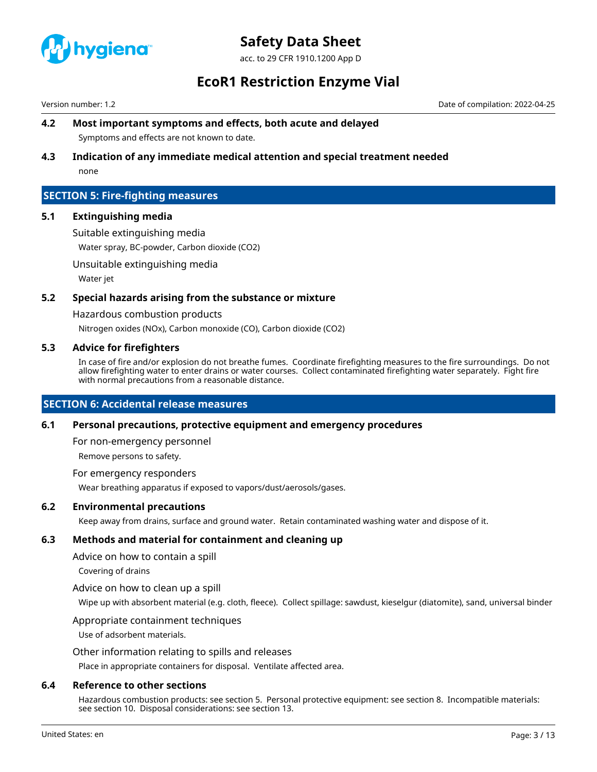

acc. to 29 CFR 1910.1200 App D

# **EcoR1 Restriction Enzyme Vial**

Version number: 1.2 Date of compilation: 2022-04-25

# **4.2 Most important symptoms and effects, both acute and delayed** Symptoms and effects are not known to date.

# **4.3 Indication of any immediate medical attention and special treatment needed**

none

# **SECTION 5: Fire-fighting measures**

### **5.1 Extinguishing media**

Suitable extinguishing media

Water spray, BC-powder, Carbon dioxide (CO2)

Unsuitable extinguishing media

Water jet

### **5.2 Special hazards arising from the substance or mixture**

Hazardous combustion products

Nitrogen oxides (NOx), Carbon monoxide (CO), Carbon dioxide (CO2)

#### **5.3 Advice for firefighters**

In case of fire and/or explosion do not breathe fumes. Coordinate firefighting measures to the fire surroundings. Do not allow firefighting water to enter drains or water courses. Collect contaminated firefighting water separately. Fight fire with normal precautions from a reasonable distance.

### **SECTION 6: Accidental release measures**

#### **6.1 Personal precautions, protective equipment and emergency procedures**

For non-emergency personnel

Remove persons to safety.

For emergency responders

Wear breathing apparatus if exposed to vapors/dust/aerosols/gases.

### **6.2 Environmental precautions**

Keep away from drains, surface and ground water. Retain contaminated washing water and dispose of it.

### **6.3 Methods and material for containment and cleaning up**

Advice on how to contain a spill

Covering of drains

Advice on how to clean up a spill

Wipe up with absorbent material (e.g. cloth, fleece). Collect spillage: sawdust, kieselgur (diatomite), sand, universal binder

#### Appropriate containment techniques

Use of adsorbent materials.

Other information relating to spills and releases

Place in appropriate containers for disposal. Ventilate affected area.

#### **6.4 Reference to other sections**

Hazardous combustion products: see section 5. Personal protective equipment: see section 8. Incompatible materials: see section 10. Disposal considerations: see section 13.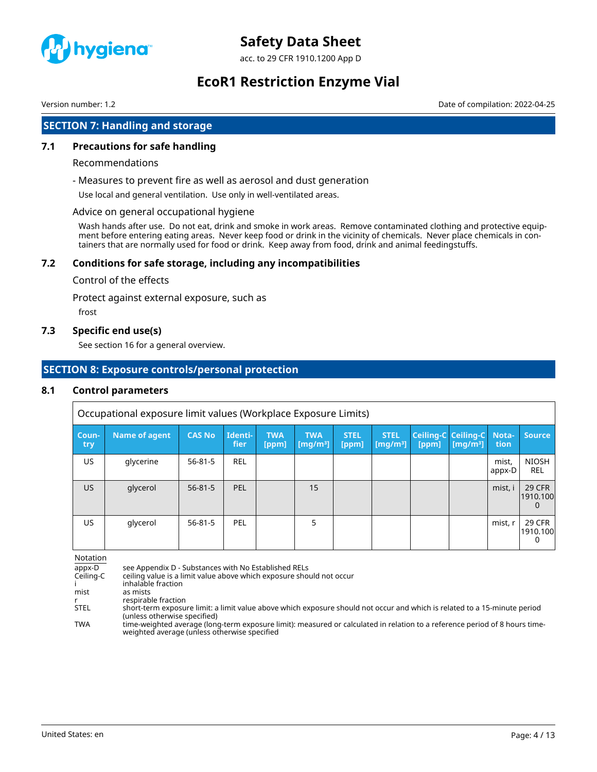

acc. to 29 CFR 1910.1200 App D

# **EcoR1 Restriction Enzyme Vial**

Version number: 1.2 Date of compilation: 2022-04-25

# **SECTION 7: Handling and storage**

### **7.1 Precautions for safe handling**

#### Recommendations

- Measures to prevent fire as well as aerosol and dust generation

Use local and general ventilation. Use only in well-ventilated areas.

#### Advice on general occupational hygiene

Wash hands after use. Do not eat, drink and smoke in work areas. Remove contaminated clothing and protective equipment before entering eating areas. Never keep food or drink in the vicinity of chemicals. Never place chemicals in containers that are normally used for food or drink. Keep away from food, drink and animal feedingstuffs.

### **7.2 Conditions for safe storage, including any incompatibilities**

#### Control of the effects

Protect against external exposure, such as

frost

### **7.3 Specific end use(s)**

See section 16 for a general overview.

# **SECTION 8: Exposure controls/personal protection**

#### **8.1 Control parameters**

Occupational exposure limit values (Workplace Exposure Limits)

| Coun-<br>try | <b>Name of agent</b> | <b>CAS No</b> | Identi-<br>fier | <b>TWA</b><br>[ppm] | <b>TWA</b><br>[mg/m <sup>3</sup> ] | <b>STEL</b><br>[ppm] | <b>STEL</b><br>$[mg/m^3]$ | [ppm] | Ceiling-C Ceiling-C Nota-<br>$\left[\text{mq/m}^3\right]$ | tion            | <b>Source</b>                         |
|--------------|----------------------|---------------|-----------------|---------------------|------------------------------------|----------------------|---------------------------|-------|-----------------------------------------------------------|-----------------|---------------------------------------|
| US           | glycerine            | $56 - 81 - 5$ | <b>REL</b>      |                     |                                    |                      |                           |       |                                                           | mist,<br>appx-D | <b>NIOSH</b><br>REL                   |
| US.          | glycerol             | $56 - 81 - 5$ | <b>PEL</b>      |                     | 15                                 |                      |                           |       |                                                           | mist, i         | <b>29 CFR</b><br>1910.100<br>$\Omega$ |
| US           | glycerol             | $56 - 81 - 5$ | PEL             |                     |                                    |                      |                           |       |                                                           | mist, r         | <b>29 CFR</b><br>1910.100<br>$\Omega$ |

Notation

appx-D see Appendix D - Substances with No Established RELs<br>Ceiling-C ceiling value is a limit value above which exposure shou ceiling value is a limit value above which exposure should not occur

i inhalable fraction<br>mist as mists

as mists

r respirable fraction<br>STEL short-term exposu

short-term exposure limit: a limit value above which exposure should not occur and which is related to a 15-minute period (unless otherwise specified)

TWA time-weighted average (long-term exposure limit): measured or calculated in relation to a reference period of 8 hours timeweighted average (unless otherwise specified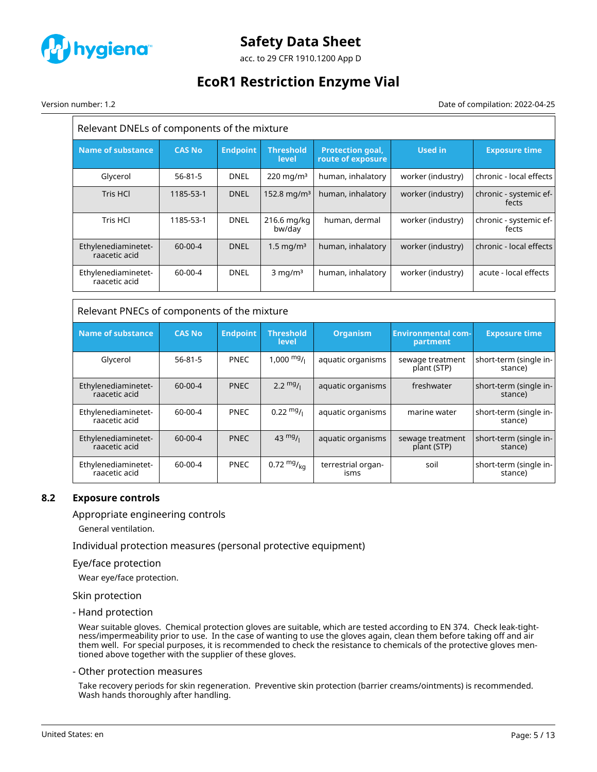

acc. to 29 CFR 1910.1200 App D

# **EcoR1 Restriction Enzyme Vial**

Version number: 1.2 Date of compilation: 2022-04-25

| Relevant DNELs of components of the mixture |               |                 |                           |                                              |                   |                                 |  |
|---------------------------------------------|---------------|-----------------|---------------------------|----------------------------------------------|-------------------|---------------------------------|--|
| <b>Name of substance</b>                    | <b>CAS No</b> | <b>Endpoint</b> | <b>Threshold</b><br>level | <b>Protection goal,</b><br>route of exposure | <b>Used in</b>    | <b>Exposure time</b>            |  |
| Glycerol                                    | $56 - 81 - 5$ | <b>DNEL</b>     | $220 \,\mathrm{mg/m^3}$   | human, inhalatory                            | worker (industry) | chronic - local effects         |  |
| Tris HCl                                    | 1185-53-1     | <b>DNEL</b>     | 152.8 mg/m <sup>3</sup>   | human, inhalatory                            | worker (industry) | chronic - systemic ef-<br>fects |  |
| Tris HCl                                    | 1185-53-1     | <b>DNEL</b>     | 216.6 mg/kg<br>bw/day     | human, dermal                                | worker (industry) | chronic - systemic ef-<br>fects |  |
| Ethylenediaminetet-<br>raacetic acid        | $60 - 00 - 4$ | <b>DNEL</b>     | $1.5 \,\mathrm{mg/m^3}$   | human, inhalatory                            | worker (industry) | chronic - local effects         |  |
| Ethylenediaminetet-<br>raacetic acid        | $60 - 00 - 4$ | <b>DNEL</b>     | $3$ mg/m <sup>3</sup>     | human, inhalatory                            | worker (industry) | acute - local effects           |  |

| Relevant PNECs of components of the mixture |  |
|---------------------------------------------|--|
|---------------------------------------------|--|

| Name of substance                    | <b>CAS No</b> | <b>Endpoint</b> | <b>Threshold</b><br>level | <b>Organism</b>            | <b>Environmental com-</b><br>partment | <b>Exposure time</b>              |
|--------------------------------------|---------------|-----------------|---------------------------|----------------------------|---------------------------------------|-----------------------------------|
| Glycerol                             | $56 - 81 - 5$ | <b>PNEC</b>     | $1,000 \frac{mg}{l}$      | aquatic organisms          | sewage treatment<br>plant (STP)       | short-term (single in-<br>stance) |
| Ethylenediaminetet-<br>raacetic acid | $60 - 00 - 4$ | <b>PNEC</b>     | $2.2 \frac{mg}{l}$        | aquatic organisms          | freshwater                            | short-term (single in-<br>stance) |
| Ethylenediaminetet-<br>raacetic acid | 60-00-4       | <b>PNEC</b>     | $0.22 \text{ mg}$ /       | aquatic organisms          | marine water                          | short-term (single in-<br>stance) |
| Ethylenediaminetet-<br>raacetic acid | $60-00-4$     | <b>PNEC</b>     | 43 $mg/1$                 | aquatic organisms          | sewage treatment<br>plant (STP)       | short-term (single in-<br>stance) |
| Ethylenediaminetet-<br>raacetic acid | 60-00-4       | <b>PNEC</b>     | 0.72 $mg/kq$              | terrestrial organ-<br>isms | soil                                  | short-term (single in-<br>stance) |

### **8.2 Exposure controls**

Appropriate engineering controls

General ventilation.

Individual protection measures (personal protective equipment)

#### Eye/face protection

Wear eye/face protection.

#### Skin protection

- Hand protection

Wear suitable gloves. Chemical protection gloves are suitable, which are tested according to EN 374. Check leak-tightness/impermeability prior to use. In the case of wanting to use the gloves again, clean them before taking off and air them well. For special purposes, it is recommended to check the resistance to chemicals of the protective gloves mentioned above together with the supplier of these gloves.

#### - Other protection measures

Take recovery periods for skin regeneration. Preventive skin protection (barrier creams/ointments) is recommended. Wash hands thoroughly after handling.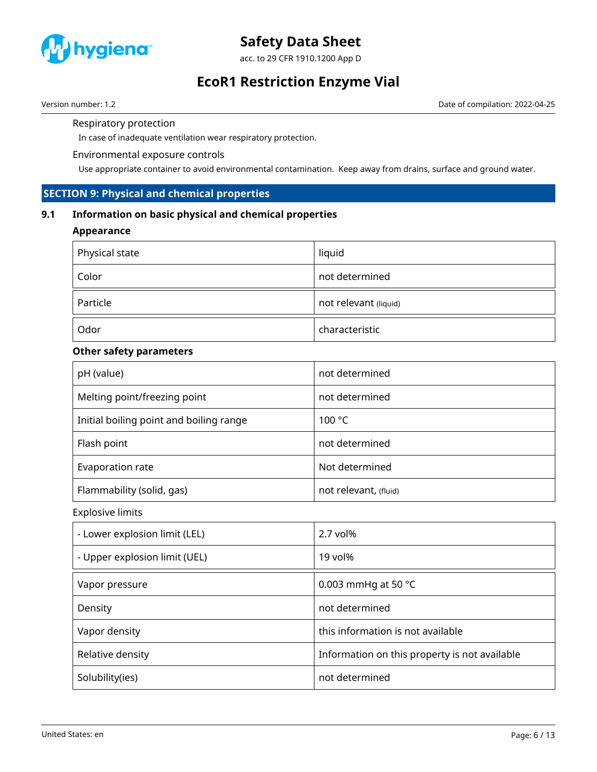

acc. to 29 CFR 1910.1200 App D

# **EcoR1 Restriction Enzyme Vial**

Version number: 1.2 Date of compilation: 2022-04-25

Respiratory protection

In case of inadequate ventilation wear respiratory protection.

### Environmental exposure controls

Use appropriate container to avoid environmental contamination. Keep away from drains, surface and ground water.

# **SECTION 9: Physical and chemical properties**

# **9.1 Information on basic physical and chemical properties**

### **Appearance**

| Physical state | liquid                |
|----------------|-----------------------|
| Color          | not determined        |
| Particle       | not relevant (liquid) |
| Odor           | characteristic        |

# **Other safety parameters**

| pH (value)                              | not determined        |
|-----------------------------------------|-----------------------|
| Melting point/freezing point            | not determined        |
| Initial boiling point and boiling range | 100 °C                |
| Flash point                             | not determined        |
| Evaporation rate                        | Not determined        |
| Flammability (solid, gas)               | not relevant, (fluid) |

Explosive limits

| - Lower explosion limit (LEL) | $2.7$ vol%                                    |
|-------------------------------|-----------------------------------------------|
| - Upper explosion limit (UEL) | 19 vol%                                       |
| Vapor pressure                | 0.003 mmHg at 50 $^{\circ}$ C                 |
| Density                       | not determined                                |
| Vapor density                 | this information is not available             |
| Relative density              | Information on this property is not available |
| Solubility(ies)               | not determined                                |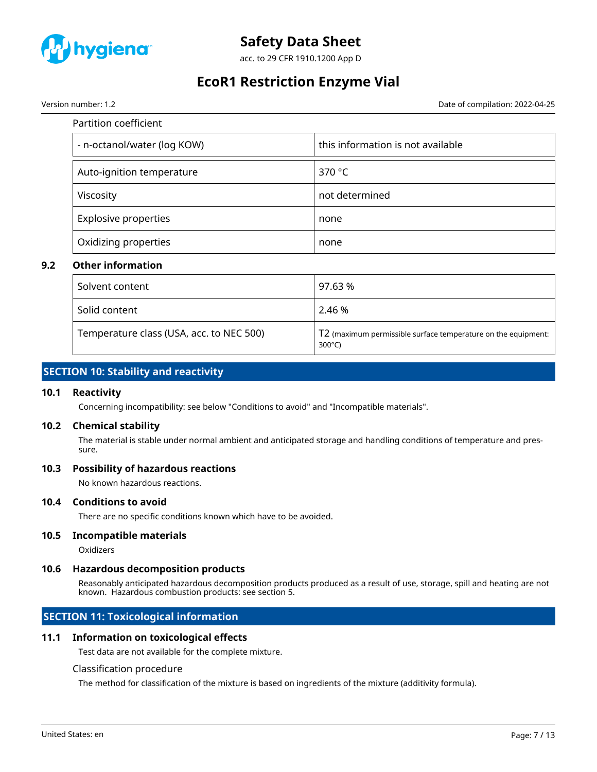

acc. to 29 CFR 1910.1200 App D

# **EcoR1 Restriction Enzyme Vial**

Version number: 1.2 Date of compilation: 2022-04-25

| Partition coefficient       |                                   |  |  |  |
|-----------------------------|-----------------------------------|--|--|--|
| - n-octanol/water (log KOW) | this information is not available |  |  |  |
| Auto-ignition temperature   | 370 °C                            |  |  |  |
| Viscosity                   | not determined                    |  |  |  |
| <b>Explosive properties</b> | none                              |  |  |  |
| Oxidizing properties        | none                              |  |  |  |

### **9.2 Other information**

| Solvent content                          | 97.63 %                                                                           |
|------------------------------------------|-----------------------------------------------------------------------------------|
| Solid content                            | 2.46 %                                                                            |
| Temperature class (USA, acc. to NEC 500) | T2 (maximum permissible surface temperature on the equipment:<br>$300^{\circ}$ C) |

# **SECTION 10: Stability and reactivity**

### **10.1 Reactivity**

Concerning incompatibility: see below "Conditions to avoid" and "Incompatible materials".

### **10.2 Chemical stability**

The material is stable under normal ambient and anticipated storage and handling conditions of temperature and pressure.

#### **10.3 Possibility of hazardous reactions**

No known hazardous reactions.

#### **10.4 Conditions to avoid**

There are no specific conditions known which have to be avoided.

### **10.5 Incompatible materials**

Oxidizers

### **10.6 Hazardous decomposition products**

Reasonably anticipated hazardous decomposition products produced as a result of use, storage, spill and heating are not known. Hazardous combustion products: see section 5.

# **SECTION 11: Toxicological information**

#### **11.1 Information on toxicological effects**

Test data are not available for the complete mixture.

#### Classification procedure

The method for classification of the mixture is based on ingredients of the mixture (additivity formula).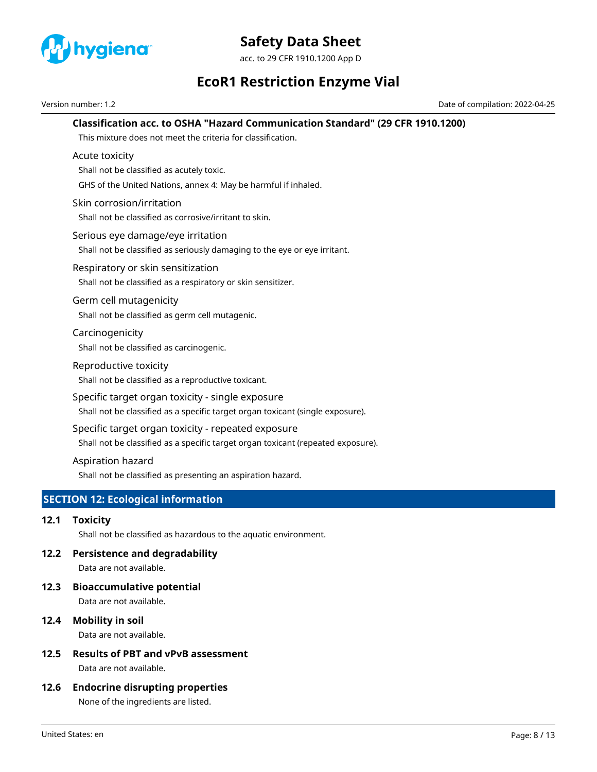

acc. to 29 CFR 1910.1200 App D

# **EcoR1 Restriction Enzyme Vial**

Version number: 1.2 Date of compilation: 2022-04-25

# **Classification acc. to OSHA "Hazard Communication Standard" (29 CFR 1910.1200)**

This mixture does not meet the criteria for classification.

### Acute toxicity

Shall not be classified as acutely toxic.

GHS of the United Nations, annex 4: May be harmful if inhaled.

### Skin corrosion/irritation

Shall not be classified as corrosive/irritant to skin.

#### Serious eye damage/eye irritation

Shall not be classified as seriously damaging to the eye or eye irritant.

### Respiratory or skin sensitization

Shall not be classified as a respiratory or skin sensitizer.

#### Germ cell mutagenicity

Shall not be classified as germ cell mutagenic.

# Carcinogenicity

Shall not be classified as carcinogenic.

### Reproductive toxicity

Shall not be classified as a reproductive toxicant.

### Specific target organ toxicity - single exposure

Shall not be classified as a specific target organ toxicant (single exposure).

### Specific target organ toxicity - repeated exposure

Shall not be classified as a specific target organ toxicant (repeated exposure).

### Aspiration hazard

Shall not be classified as presenting an aspiration hazard.

# **SECTION 12: Ecological information**

### **12.1 Toxicity**

Shall not be classified as hazardous to the aquatic environment.

### **12.2 Persistence and degradability**

Data are not available.

# **12.3 Bioaccumulative potential**

Data are not available.

### **12.4 Mobility in soil**

Data are not available.

# **12.5 Results of PBT and vPvB assessment**

Data are not available.

### **12.6 Endocrine disrupting properties**

None of the ingredients are listed.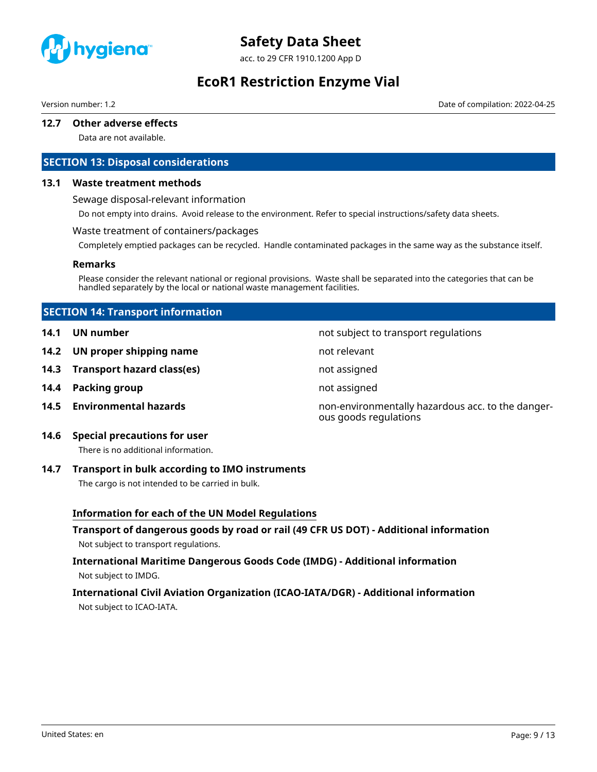

acc. to 29 CFR 1910.1200 App D

# **EcoR1 Restriction Enzyme Vial**

Version number: 1.2 Date of compilation: 2022-04-25

### **12.7 Other adverse effects**

Data are not available.

# **SECTION 13: Disposal considerations**

#### **13.1 Waste treatment methods**

Sewage disposal-relevant information

Do not empty into drains. Avoid release to the environment. Refer to special instructions/safety data sheets.

#### Waste treatment of containers/packages

Completely emptied packages can be recycled. Handle contaminated packages in the same way as the substance itself.

#### **Remarks**

Please consider the relevant national or regional provisions. Waste shall be separated into the categories that can be handled separately by the local or national waste management facilities.

### **SECTION 14: Transport information**

- **14.1 UN number 14.1 UN** number
- **14.2 UN proper shipping name** not relevant
- **14.3 Transport hazard class(es)** not assigned
- **14.4 Packing group not assigned**
- 

**14.5 Environmental hazards** non-environmentally hazardous acc. to the dangerous goods regulations

# **14.6 Special precautions for user**

There is no additional information.

#### **14.7 Transport in bulk according to IMO instruments**

The cargo is not intended to be carried in bulk.

### **Information for each of the UN Model Regulations**

# **Transport of dangerous goods by road or rail (49 CFR US DOT) - Additional information** Not subject to transport regulations.

# **International Maritime Dangerous Goods Code (IMDG) - Additional information** Not subject to IMDG.

# **International Civil Aviation Organization (ICAO-IATA/DGR) - Additional information** Not subject to ICAO-IATA.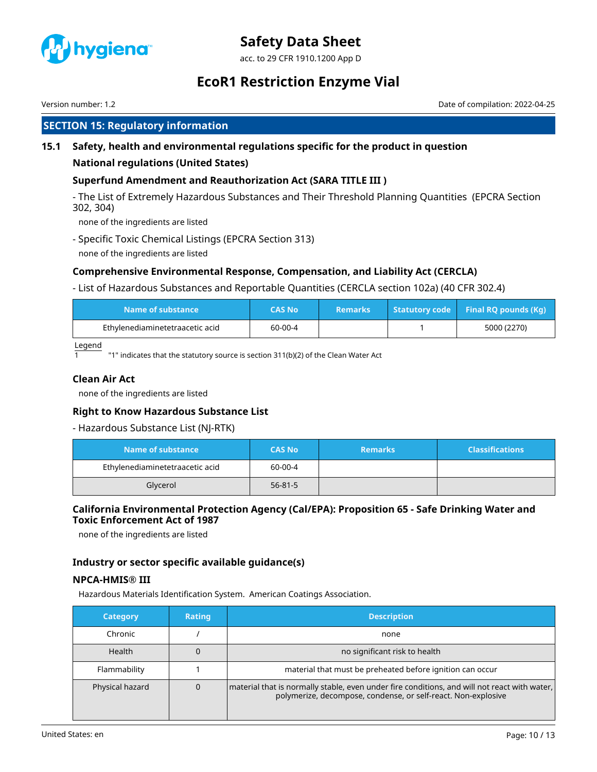

acc. to 29 CFR 1910.1200 App D

# **EcoR1 Restriction Enzyme Vial**

Version number: 1.2 Date of compilation: 2022-04-25

# **SECTION 15: Regulatory information**

# **15.1 Safety, health and environmental regulations specific for the product in question**

### **National regulations (United States)**

### **Superfund Amendment and Reauthorization Act (SARA TITLE III )**

- The List of Extremely Hazardous Substances and Their Threshold Planning Quantities (EPCRA Section 302, 304)

none of the ingredients are listed

- Specific Toxic Chemical Listings (EPCRA Section 313) none of the ingredients are listed

# **Comprehensive Environmental Response, Compensation, and Liability Act (CERCLA)**

- List of Hazardous Substances and Reportable Quantities (CERCLA section 102a) (40 CFR 302.4)

| Name of substance               | CAS No  | <b>Remarks</b> | $\sqrt{1 + 1}$ Statutory code Final RQ pounds (Kq) |
|---------------------------------|---------|----------------|----------------------------------------------------|
| Ethylenediaminetetraacetic acid | 60-00-4 |                | 5000 (2270)                                        |

Legend

1 "1" indicates that the statutory source is section 311(b)(2) of the Clean Water Act

### **Clean Air Act**

none of the ingredients are listed

### **Right to Know Hazardous Substance List**

- Hazardous Substance List (NJ-RTK)

| Name of substance               | <b>CAS No</b> | <b>Remarks</b> | <b>Classifications</b> |
|---------------------------------|---------------|----------------|------------------------|
| Ethylenediaminetetraacetic acid | 60-00-4       |                |                        |
| Glycerol                        | $56 - 81 - 5$ |                |                        |

# **California Environmental Protection Agency (Cal/EPA): Proposition 65 - Safe Drinking Water and Toxic Enforcement Act of 1987**

none of the ingredients are listed

# **Industry or sector specific available guidance(s)**

### **NPCA-HMIS® III**

Hazardous Materials Identification System. American Coatings Association.

| <b>Category</b> | <b>Rating</b> | <b>Description</b>                                                                                                                                            |
|-----------------|---------------|---------------------------------------------------------------------------------------------------------------------------------------------------------------|
| Chronic         |               | none                                                                                                                                                          |
| Health          |               | no significant risk to health                                                                                                                                 |
| Flammability    |               | material that must be preheated before ignition can occur                                                                                                     |
| Physical hazard | 0             | material that is normally stable, even under fire conditions, and will not react with water,<br>polymerize, decompose, condense, or self-react. Non-explosive |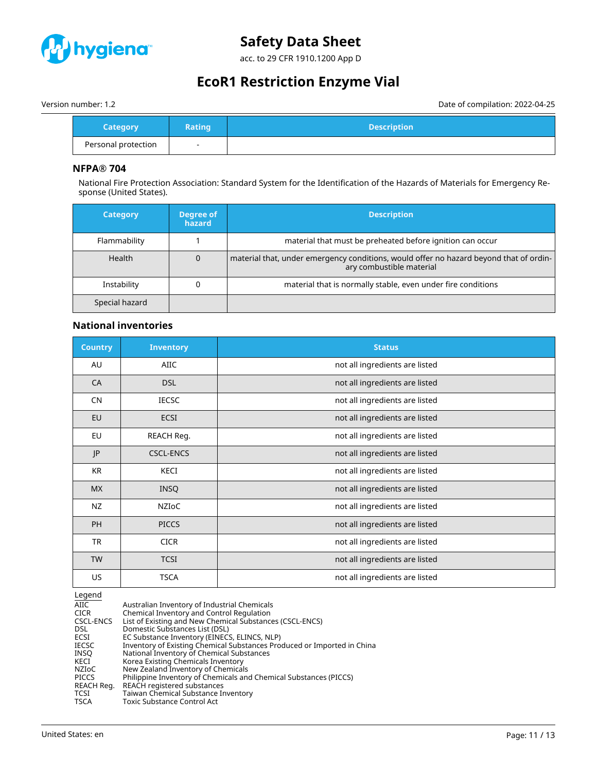

acc. to 29 CFR 1910.1200 App D

# **EcoR1 Restriction Enzyme Vial**

Version number: 1.2 Date of compilation: 2022-04-25

| <b>Category</b>     | <b>Rating</b> | <b>Description</b> |
|---------------------|---------------|--------------------|
| Personal protection |               |                    |

### **NFPA® 704**

National Fire Protection Association: Standard System for the Identification of the Hazards of Materials for Emergency Response (United States).

| <b>Category</b> | Degree of<br><b>hazard</b> | <b>Description</b>                                                                                                 |
|-----------------|----------------------------|--------------------------------------------------------------------------------------------------------------------|
| Flammability    |                            | material that must be preheated before ignition can occur                                                          |
| <b>Health</b>   |                            | material that, under emergency conditions, would offer no hazard beyond that of ordin-<br>ary combustible material |
| Instability     |                            | material that is normally stable, even under fire conditions                                                       |
| Special hazard  |                            |                                                                                                                    |

# **National inventories**

| <b>Country</b> | <b>Inventory</b> | <b>Status</b>                  |
|----------------|------------------|--------------------------------|
| AU             | AIIC             | not all ingredients are listed |
| CA             | <b>DSL</b>       | not all ingredients are listed |
| <b>CN</b>      | <b>IECSC</b>     | not all ingredients are listed |
| EU             | <b>ECSI</b>      | not all ingredients are listed |
| EU             | REACH Reg.       | not all ingredients are listed |
| JP             | <b>CSCL-ENCS</b> | not all ingredients are listed |
| <b>KR</b>      | KECI             | not all ingredients are listed |
| <b>MX</b>      | <b>INSQ</b>      | not all ingredients are listed |
| NZ             | NZIOC            | not all ingredients are listed |
| PH             | <b>PICCS</b>     | not all ingredients are listed |
| <b>TR</b>      | <b>CICR</b>      | not all ingredients are listed |
| <b>TW</b>      | <b>TCSI</b>      | not all ingredients are listed |
| US             | <b>TSCA</b>      | not all ingredients are listed |

Legend

| AIIC.        | Australian Inventory of Industrial Chemicals                            |
|--------------|-------------------------------------------------------------------------|
| <b>CICR</b>  | Chemical Inventory and Control Regulation                               |
| CSCL-ENCS    | List of Existing and New Chemical Substances (CSCL-ENCS)                |
| <b>DSL</b>   | Domestic Substances List (DSL)                                          |
| ECSI         | EC Substance Inventory (EINECS, ELINCS, NLP)                            |
| <b>IECSC</b> | Inventory of Existing Chemical Substances Produced or Imported in China |
| INSO         | National Inventory of Chemical Substances                               |
| KECI         | Korea Existing Chemicals Inventory                                      |
| <b>NZIOC</b> | New Zealand Inventory of Chemicals                                      |
| <b>PICCS</b> | Philippine Inventory of Chemicals and Chemical Substances (PICCS)       |
| REACH Reg.   | REACH registered substances                                             |
| TCSI         | Taiwan Chemical Substance Inventory                                     |
| <b>TSCA</b>  | Toxic Substance Control Act                                             |
|              |                                                                         |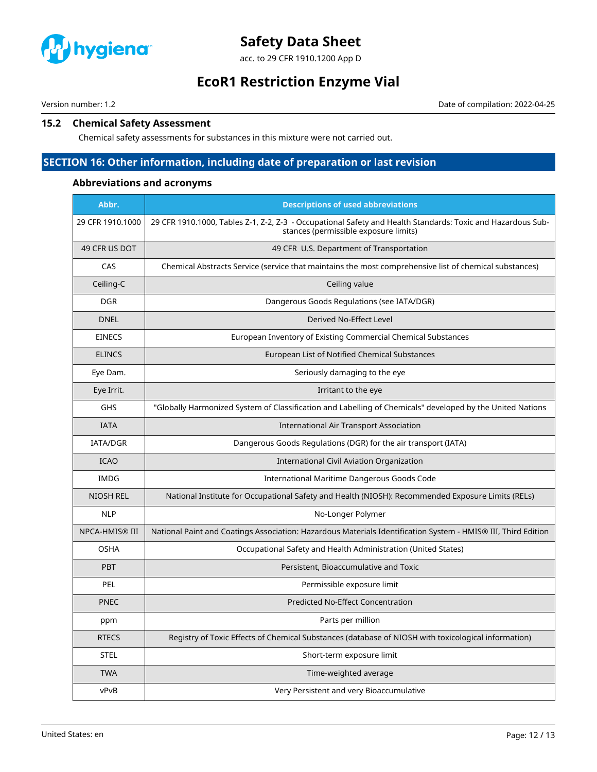

acc. to 29 CFR 1910.1200 App D

# **EcoR1 Restriction Enzyme Vial**

Version number: 1.2 Date of compilation: 2022-04-25

# **15.2 Chemical Safety Assessment**

Chemical safety assessments for substances in this mixture were not carried out.

# **SECTION 16: Other information, including date of preparation or last revision**

### **Abbreviations and acronyms**

| Abbr.                 | <b>Descriptions of used abbreviations</b>                                                                                                            |
|-----------------------|------------------------------------------------------------------------------------------------------------------------------------------------------|
| 29 CFR 1910.1000      | 29 CFR 1910.1000, Tables Z-1, Z-2, Z-3 - Occupational Safety and Health Standards: Toxic and Hazardous Sub-<br>stances (permissible exposure limits) |
| 49 CFR US DOT         | 49 CFR U.S. Department of Transportation                                                                                                             |
| CAS                   | Chemical Abstracts Service (service that maintains the most comprehensive list of chemical substances)                                               |
| Ceiling-C             | Ceiling value                                                                                                                                        |
| <b>DGR</b>            | Dangerous Goods Regulations (see IATA/DGR)                                                                                                           |
| <b>DNEL</b>           | Derived No-Effect Level                                                                                                                              |
| <b>EINECS</b>         | European Inventory of Existing Commercial Chemical Substances                                                                                        |
| <b>ELINCS</b>         | European List of Notified Chemical Substances                                                                                                        |
| Eye Dam.              | Seriously damaging to the eye                                                                                                                        |
| Eye Irrit.            | Irritant to the eye                                                                                                                                  |
| <b>GHS</b>            | "Globally Harmonized System of Classification and Labelling of Chemicals" developed by the United Nations                                            |
| <b>IATA</b>           | <b>International Air Transport Association</b>                                                                                                       |
| <b>IATA/DGR</b>       | Dangerous Goods Regulations (DGR) for the air transport (IATA)                                                                                       |
| <b>ICAO</b>           | International Civil Aviation Organization                                                                                                            |
| <b>IMDG</b>           | International Maritime Dangerous Goods Code                                                                                                          |
| <b>NIOSH REL</b>      | National Institute for Occupational Safety and Health (NIOSH): Recommended Exposure Limits (RELs)                                                    |
| <b>NLP</b>            | No-Longer Polymer                                                                                                                                    |
| <b>NPCA-HMIS® III</b> | National Paint and Coatings Association: Hazardous Materials Identification System - HMIS® III, Third Edition                                        |
| <b>OSHA</b>           | Occupational Safety and Health Administration (United States)                                                                                        |
| <b>PBT</b>            | Persistent, Bioaccumulative and Toxic                                                                                                                |
| <b>PEL</b>            | Permissible exposure limit                                                                                                                           |
| <b>PNEC</b>           | <b>Predicted No-Effect Concentration</b>                                                                                                             |
| ppm                   | Parts per million                                                                                                                                    |
| <b>RTECS</b>          | Registry of Toxic Effects of Chemical Substances (database of NIOSH with toxicological information)                                                  |
| <b>STEL</b>           | Short-term exposure limit                                                                                                                            |
| <b>TWA</b>            | Time-weighted average                                                                                                                                |
| vPvB                  | Very Persistent and very Bioaccumulative                                                                                                             |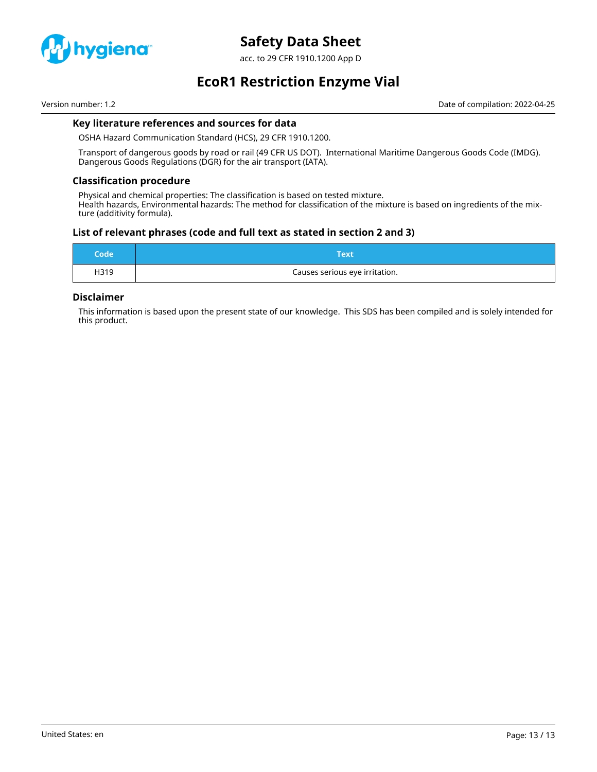

acc. to 29 CFR 1910.1200 App D

**EcoR1 Restriction Enzyme Vial**

Version number: 1.2 Date of compilation: 2022-04-25

# **Key literature references and sources for data**

OSHA Hazard Communication Standard (HCS), 29 CFR 1910.1200.

Transport of dangerous goods by road or rail (49 CFR US DOT). International Maritime Dangerous Goods Code (IMDG). Dangerous Goods Regulations (DGR) for the air transport (IATA).

#### **Classification procedure**

Physical and chemical properties: The classification is based on tested mixture. Health hazards, Environmental hazards: The method for classification of the mixture is based on ingredients of the mixture (additivity formula).

### **List of relevant phrases (code and full text as stated in section 2 and 3)**

| Code' | Text                           |
|-------|--------------------------------|
| H319  | Causes serious eye irritation. |

### **Disclaimer**

This information is based upon the present state of our knowledge. This SDS has been compiled and is solely intended for this product.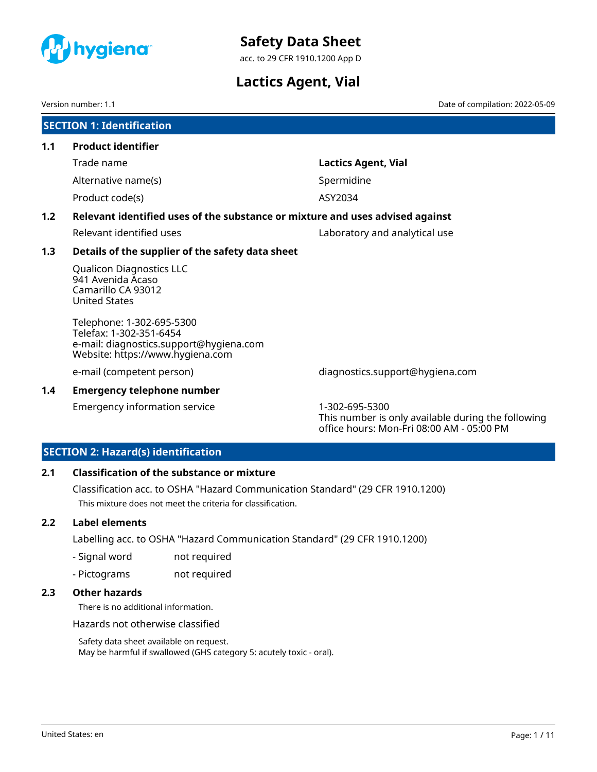<span id="page-14-0"></span>

acc. to 29 CFR 1910.1200 App D

# **Lactics Agent, Vial**

Version number: 1.1 Date of compilation: 2022-05-09

|     | <b>SECTION 1: Identification</b>                                                                                                    |                               |  |  |
|-----|-------------------------------------------------------------------------------------------------------------------------------------|-------------------------------|--|--|
| 1.1 | <b>Product identifier</b>                                                                                                           |                               |  |  |
|     | Trade name                                                                                                                          | Lactics Agent, Vial           |  |  |
|     | Alternative name(s)                                                                                                                 | Spermidine                    |  |  |
|     | Product code(s)                                                                                                                     | ASY2034                       |  |  |
| 1.2 | Relevant identified uses of the substance or mixture and uses advised against                                                       |                               |  |  |
|     | Relevant identified uses                                                                                                            | Laboratory and analytical use |  |  |
| 1.3 | Details of the supplier of the safety data sheet                                                                                    |                               |  |  |
|     | <b>Qualicon Diagnostics LLC</b><br>941 Avenida Acaso<br>Camarillo CA 93012<br><b>United States</b>                                  |                               |  |  |
|     | Telephone: 1-302-695-5300<br>Telefax: 1-302-351-6454<br>e-mail: diagnostics.support@hygiena.com<br>Website: https://www.hygiena.com |                               |  |  |

e-mail (competent person) diagnostics.support@hygiena.com

### **1.4 Emergency telephone number**

Emergency information service 1-302-695-5300

This number is only available during the following office hours: Mon-Fri 08:00 AM - 05:00 PM

# **SECTION 2: Hazard(s) identification**

### **2.1 Classification of the substance or mixture**

Classification acc. to OSHA "Hazard Communication Standard" (29 CFR 1910.1200) This mixture does not meet the criteria for classification.

### **2.2 Label elements**

Labelling acc. to OSHA "Hazard Communication Standard" (29 CFR 1910.1200)

- Signal word not required
- Pictograms not required

# **2.3 Other hazards**

There is no additional information.

Hazards not otherwise classified

Safety data sheet available on request. May be harmful if swallowed (GHS category 5: acutely toxic - oral).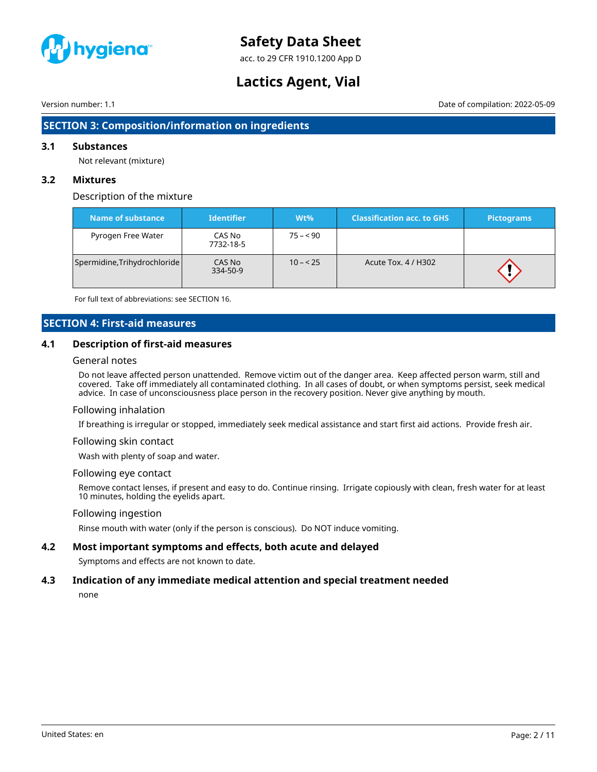

acc. to 29 CFR 1910.1200 App D

# **Lactics Agent, Vial**

Version number: 1.1 Date of compilation: 2022-05-09

# **SECTION 3: Composition/information on ingredients**

#### **3.1 Substances**

Not relevant (mixture)

#### **3.2 Mixtures**

### Description of the mixture

| Name of substance            | <b>Identifier</b>   | $Wt\%$    | <b>Classification acc. to GHS</b> | Pictograms |
|------------------------------|---------------------|-----------|-----------------------------------|------------|
| Pyrogen Free Water           | CAS No<br>7732-18-5 | $75 - 90$ |                                   |            |
| Spermidine, Trihydrochloride | CAS No<br>334-50-9  | $10 - 25$ | Acute Tox. 4 / H302               |            |

For full text of abbreviations: see SECTION 16.

# **SECTION 4: First-aid measures**

### **4.1 Description of first-aid measures**

#### General notes

Do not leave affected person unattended. Remove victim out of the danger area. Keep affected person warm, still and covered. Take off immediately all contaminated clothing. In all cases of doubt, or when symptoms persist, seek medical advice. In case of unconsciousness place person in the recovery position. Never give anything by mouth.

#### Following inhalation

If breathing is irregular or stopped, immediately seek medical assistance and start first aid actions. Provide fresh air.

#### Following skin contact

Wash with plenty of soap and water.

#### Following eye contact

Remove contact lenses, if present and easy to do. Continue rinsing. Irrigate copiously with clean, fresh water for at least 10 minutes, holding the eyelids apart.

#### Following ingestion

Rinse mouth with water (only if the person is conscious). Do NOT induce vomiting.

### **4.2 Most important symptoms and effects, both acute and delayed**

Symptoms and effects are not known to date.

#### **4.3 Indication of any immediate medical attention and special treatment needed**

none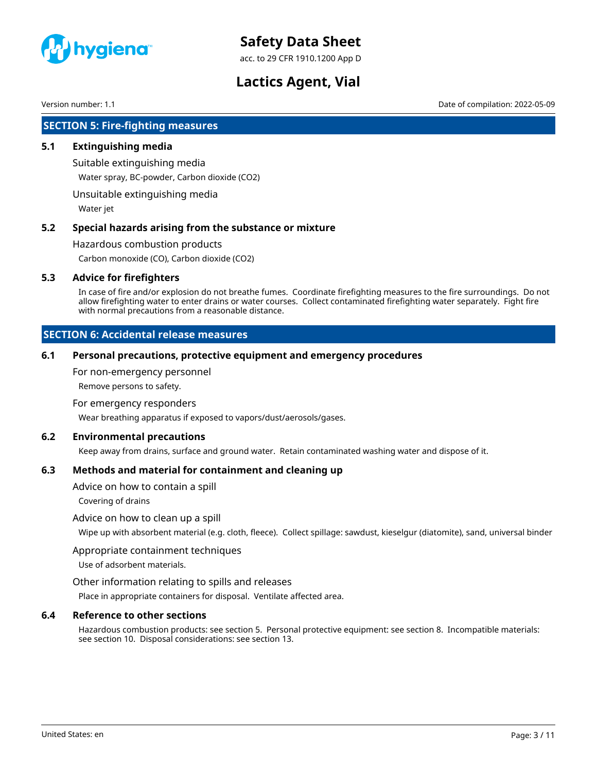

acc. to 29 CFR 1910.1200 App D

# **Lactics Agent, Vial**

Version number: 1.1 Date of compilation: 2022-05-09

# **SECTION 5: Fire-fighting measures**

#### **5.1 Extinguishing media**

Suitable extinguishing media Water spray, BC-powder, Carbon dioxide (CO2)

Unsuitable extinguishing media

Water jet

### **5.2 Special hazards arising from the substance or mixture**

Hazardous combustion products

Carbon monoxide (CO), Carbon dioxide (CO2)

#### **5.3 Advice for firefighters**

In case of fire and/or explosion do not breathe fumes. Coordinate firefighting measures to the fire surroundings. Do not allow firefighting water to enter drains or water courses. Collect contaminated firefighting water separately. Fight fire with normal precautions from a reasonable distance.

### **SECTION 6: Accidental release measures**

#### **6.1 Personal precautions, protective equipment and emergency procedures**

For non-emergency personnel

Remove persons to safety.

#### For emergency responders

Wear breathing apparatus if exposed to vapors/dust/aerosols/gases.

#### **6.2 Environmental precautions**

Keep away from drains, surface and ground water. Retain contaminated washing water and dispose of it.

### **6.3 Methods and material for containment and cleaning up**

Advice on how to contain a spill

Covering of drains

#### Advice on how to clean up a spill

Wipe up with absorbent material (e.g. cloth, fleece). Collect spillage: sawdust, kieselgur (diatomite), sand, universal binder

#### Appropriate containment techniques

Use of adsorbent materials.

#### Other information relating to spills and releases

Place in appropriate containers for disposal. Ventilate affected area.

#### **6.4 Reference to other sections**

Hazardous combustion products: see section 5. Personal protective equipment: see section 8. Incompatible materials: see section 10. Disposal considerations: see section 13.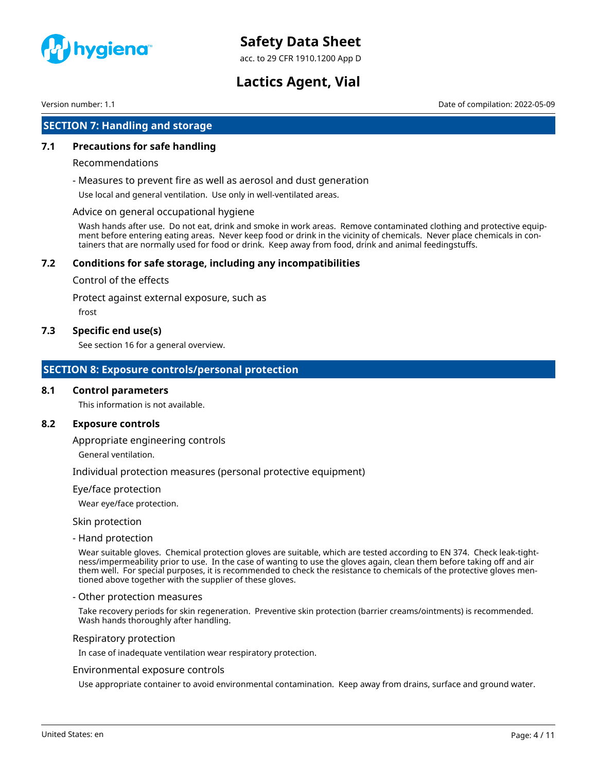

acc. to 29 CFR 1910.1200 App D

# **Lactics Agent, Vial**

Version number: 1.1 Date of compilation: 2022-05-09

# **SECTION 7: Handling and storage**

#### **7.1 Precautions for safe handling**

#### Recommendations

- Measures to prevent fire as well as aerosol and dust generation

Use local and general ventilation. Use only in well-ventilated areas.

#### Advice on general occupational hygiene

Wash hands after use. Do not eat, drink and smoke in work areas. Remove contaminated clothing and protective equipment before entering eating areas. Never keep food or drink in the vicinity of chemicals. Never place chemicals in containers that are normally used for food or drink. Keep away from food, drink and animal feedingstuffs.

### **7.2 Conditions for safe storage, including any incompatibilities**

#### Control of the effects

Protect against external exposure, such as

frost

#### **7.3 Specific end use(s)**

See section 16 for a general overview.

### **SECTION 8: Exposure controls/personal protection**

#### **8.1 Control parameters**

This information is not available.

### **8.2 Exposure controls**

Appropriate engineering controls

General ventilation.

Individual protection measures (personal protective equipment)

#### Eye/face protection

Wear eye/face protection.

Skin protection

- Hand protection

Wear suitable gloves. Chemical protection gloves are suitable, which are tested according to EN 374. Check leak-tightness/impermeability prior to use. In the case of wanting to use the gloves again, clean them before taking off and air them well. For special purposes, it is recommended to check the resistance to chemicals of the protective gloves mentioned above together with the supplier of these gloves.

#### - Other protection measures

Take recovery periods for skin regeneration. Preventive skin protection (barrier creams/ointments) is recommended. Wash hands thoroughly after handling.

#### Respiratory protection

In case of inadequate ventilation wear respiratory protection.

#### Environmental exposure controls

Use appropriate container to avoid environmental contamination. Keep away from drains, surface and ground water.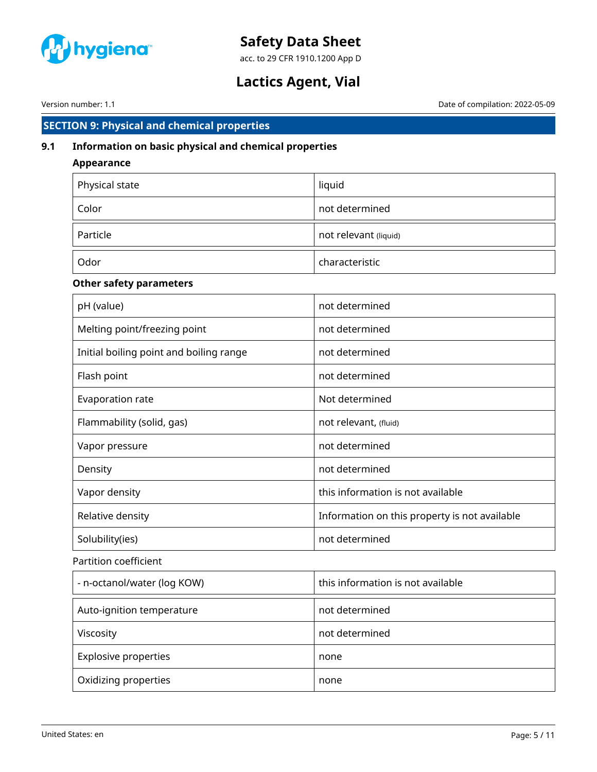

acc. to 29 CFR 1910.1200 App D

# **Lactics Agent, Vial**

Version number: 1.1 Date of compilation: 2022-05-09

# **SECTION 9: Physical and chemical properties**

# **9.1 Information on basic physical and chemical properties**

| Appearance     |                       |  |  |
|----------------|-----------------------|--|--|
| Physical state | liquid                |  |  |
| Color          | not determined        |  |  |
| Particle       | not relevant (liquid) |  |  |
| Odor           | characteristic        |  |  |

# **Other safety parameters**

| pH (value)                              | not determined                                |  |  |
|-----------------------------------------|-----------------------------------------------|--|--|
| Melting point/freezing point            | not determined                                |  |  |
| Initial boiling point and boiling range | not determined                                |  |  |
| Flash point                             | not determined                                |  |  |
| Evaporation rate                        | Not determined                                |  |  |
| Flammability (solid, gas)               | not relevant, (fluid)                         |  |  |
| Vapor pressure                          | not determined                                |  |  |
| Density                                 | not determined                                |  |  |
| Vapor density                           | this information is not available             |  |  |
| Relative density                        | Information on this property is not available |  |  |
| Solubility(ies)                         | not determined                                |  |  |
| Partition coefficient                   |                                               |  |  |
| - n-octanol/water (log KOW)             | this information is not available             |  |  |
| Auto-ignition temperature               | not determined                                |  |  |

Explosive properties none none

Oxidizing properties none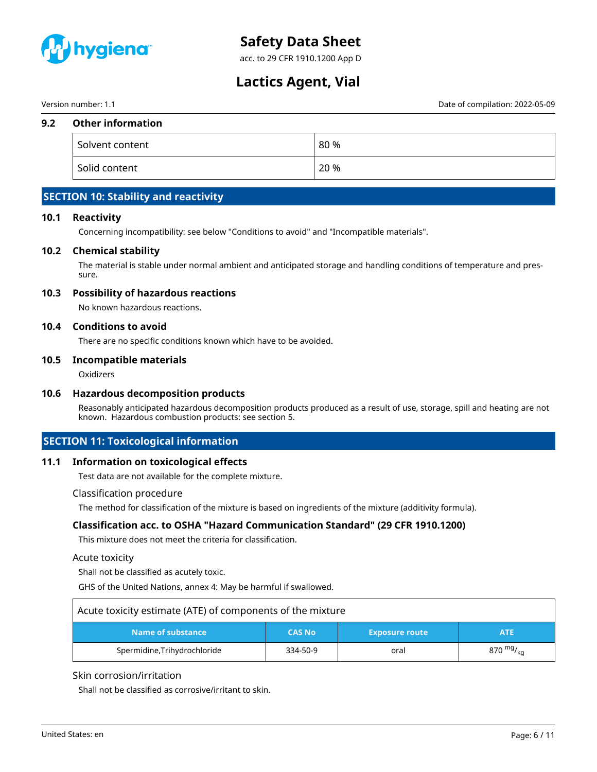

acc. to 29 CFR 1910.1200 App D

# **Lactics Agent, Vial**

Version number: 1.1 Date of compilation: 2022-05-09

#### **9.2 Other information**

| Solvent content | 80 % |
|-----------------|------|
| Solid content   | 20 % |

# **SECTION 10: Stability and reactivity**

#### **10.1 Reactivity**

Concerning incompatibility: see below "Conditions to avoid" and "Incompatible materials".

#### **10.2 Chemical stability**

The material is stable under normal ambient and anticipated storage and handling conditions of temperature and pressure.

#### **10.3 Possibility of hazardous reactions**

No known hazardous reactions.

#### **10.4 Conditions to avoid**

There are no specific conditions known which have to be avoided.

#### **10.5 Incompatible materials**

**Oxidizers** 

### **10.6 Hazardous decomposition products**

Reasonably anticipated hazardous decomposition products produced as a result of use, storage, spill and heating are not known. Hazardous combustion products: see section 5.

### **SECTION 11: Toxicological information**

#### **11.1 Information on toxicological effects**

Test data are not available for the complete mixture.

#### Classification procedure

The method for classification of the mixture is based on ingredients of the mixture (additivity formula).

### **Classification acc. to OSHA "Hazard Communication Standard" (29 CFR 1910.1200)**

This mixture does not meet the criteria for classification.

#### Acute toxicity

Shall not be classified as acutely toxic.

GHS of the United Nations, annex 4: May be harmful if swallowed.

| Acute toxicity estimate (ATE) of components of the mixture |               |                       |             |
|------------------------------------------------------------|---------------|-----------------------|-------------|
| Name of substance                                          | <b>CAS No</b> | <b>Exposure route</b> | ATE         |
| Spermidine, Trihydrochloride                               | 334-50-9      | oral                  | 870 $mg/kq$ |

#### Skin corrosion/irritation

Shall not be classified as corrosive/irritant to skin.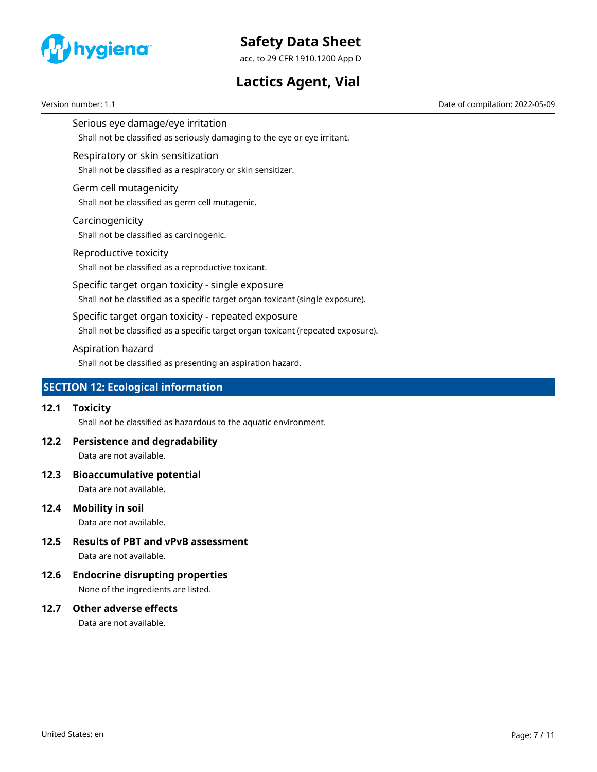

acc. to 29 CFR 1910.1200 App D

# **Lactics Agent, Vial**

Version number: 1.1 Date of compilation: 2022-05-09

Serious eye damage/eye irritation Shall not be classified as seriously damaging to the eye or eye irritant.

# Respiratory or skin sensitization

Shall not be classified as a respiratory or skin sensitizer.

### Germ cell mutagenicity

Shall not be classified as germ cell mutagenic.

### Carcinogenicity

Shall not be classified as carcinogenic.

### Reproductive toxicity

Shall not be classified as a reproductive toxicant.

Specific target organ toxicity - single exposure

Shall not be classified as a specific target organ toxicant (single exposure).

### Specific target organ toxicity - repeated exposure

Shall not be classified as a specific target organ toxicant (repeated exposure).

### Aspiration hazard

Shall not be classified as presenting an aspiration hazard.

# **SECTION 12: Ecological information**

### **12.1 Toxicity**

Shall not be classified as hazardous to the aquatic environment.

# **12.2 Persistence and degradability**

Data are not available.

### **12.3 Bioaccumulative potential**

Data are not available.

# **12.4 Mobility in soil**

Data are not available.

# **12.5 Results of PBT and vPvB assessment**

Data are not available.

# **12.6 Endocrine disrupting properties**

None of the ingredients are listed.

# **12.7 Other adverse effects**

Data are not available.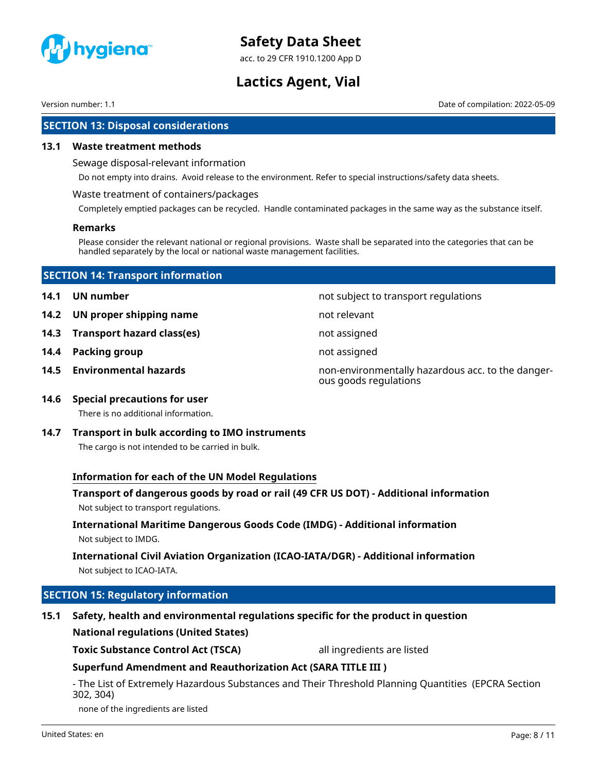

acc. to 29 CFR 1910.1200 App D

# **Lactics Agent, Vial**

Version number: 1.1 Date of compilation: 2022-05-09

# **SECTION 13: Disposal considerations**

#### **13.1 Waste treatment methods**

Sewage disposal-relevant information

Do not empty into drains. Avoid release to the environment. Refer to special instructions/safety data sheets.

#### Waste treatment of containers/packages

Completely emptied packages can be recycled. Handle contaminated packages in the same way as the substance itself.

#### **Remarks**

Please consider the relevant national or regional provisions. Waste shall be separated into the categories that can be handled separately by the local or national waste management facilities.

| <b>SECTION 14: Transport information</b> |                                 |                                      |  |
|------------------------------------------|---------------------------------|--------------------------------------|--|
| 14.1                                     | UN number                       | not subject to transport regulations |  |
|                                          | 14.2 UN proper shipping name    | not relevant                         |  |
|                                          | 14.3 Transport hazard class(es) | not assigned                         |  |

- **14.4 Packing group not assigned**
- 

**14.5 Environmental hazards non-environmentally hazardous acc. to the danger**ous goods regulations

# **14.6 Special precautions for user**

There is no additional information.

**14.7 Transport in bulk according to IMO instruments**

The cargo is not intended to be carried in bulk.

# **Information for each of the UN Model Regulations**

# **Transport of dangerous goods by road or rail (49 CFR US DOT) - Additional information** Not subject to transport regulations.

# **International Maritime Dangerous Goods Code (IMDG) - Additional information** Not subject to IMDG.

# **International Civil Aviation Organization (ICAO-IATA/DGR) - Additional information** Not subject to ICAO-IATA.

# **SECTION 15: Regulatory information**

# **15.1 Safety, health and environmental regulations specific for the product in question**

### **National regulations (United States)**

**Toxic Substance Control Act (TSCA)** all ingredients are listed

# **Superfund Amendment and Reauthorization Act (SARA TITLE III )**

- The List of Extremely Hazardous Substances and Their Threshold Planning Quantities (EPCRA Section 302, 304)

none of the ingredients are listed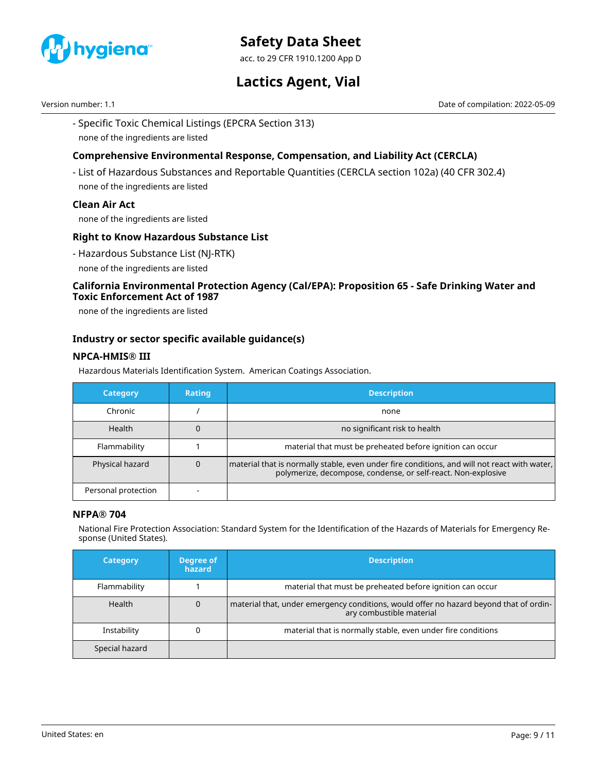

acc. to 29 CFR 1910.1200 App D

# **Lactics Agent, Vial**

Version number: 1.1 Date of compilation: 2022-05-09

- Specific Toxic Chemical Listings (EPCRA Section 313) none of the ingredients are listed

# **Comprehensive Environmental Response, Compensation, and Liability Act (CERCLA)**

- List of Hazardous Substances and Reportable Quantities (CERCLA section 102a) (40 CFR 302.4) none of the ingredients are listed

### **Clean Air Act**

none of the ingredients are listed

### **Right to Know Hazardous Substance List**

- Hazardous Substance List (NJ-RTK)
- none of the ingredients are listed

# **California Environmental Protection Agency (Cal/EPA): Proposition 65 - Safe Drinking Water and Toxic Enforcement Act of 1987**

none of the ingredients are listed

### **Industry or sector specific available guidance(s)**

### **NPCA-HMIS® III**

Hazardous Materials Identification System. American Coatings Association.

| <b>Category</b>     | <b>Rating</b> | <b>Description</b>                                                                                                                                            |
|---------------------|---------------|---------------------------------------------------------------------------------------------------------------------------------------------------------------|
| Chronic             |               | none                                                                                                                                                          |
| Health              |               | no significant risk to health                                                                                                                                 |
| Flammability        |               | material that must be preheated before ignition can occur                                                                                                     |
| Physical hazard     | 0             | material that is normally stable, even under fire conditions, and will not react with water,<br>polymerize, decompose, condense, or self-react. Non-explosive |
| Personal protection |               |                                                                                                                                                               |

### **NFPA® 704**

National Fire Protection Association: Standard System for the Identification of the Hazards of Materials for Emergency Response (United States).

| <b>Category</b> | Degree of<br>hazard | <b>Description</b>                                                                                                 |
|-----------------|---------------------|--------------------------------------------------------------------------------------------------------------------|
| Flammability    |                     | material that must be preheated before ignition can occur                                                          |
| <b>Health</b>   | 0                   | material that, under emergency conditions, would offer no hazard beyond that of ordin-<br>ary combustible material |
| Instability     |                     | material that is normally stable, even under fire conditions                                                       |
| Special hazard  |                     |                                                                                                                    |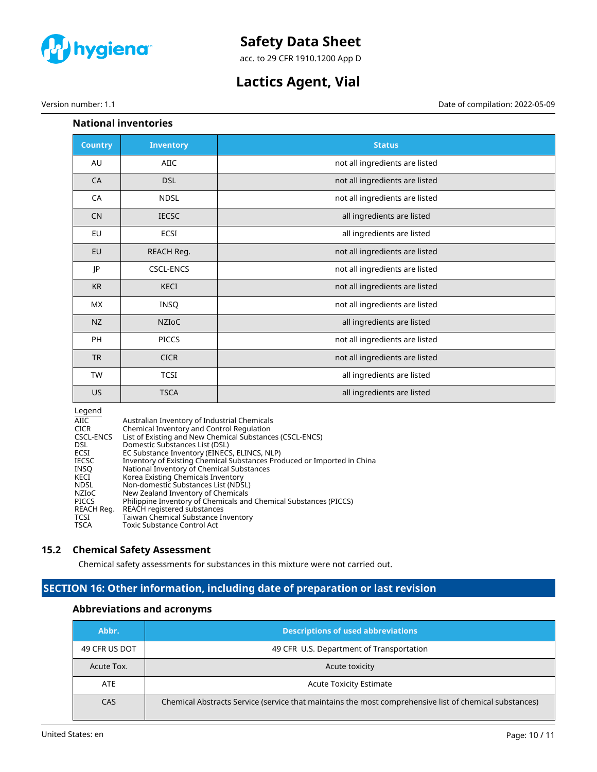

acc. to 29 CFR 1910.1200 App D

# **Lactics Agent, Vial**

# **National inventories**

| <b>Country</b> | <b>Inventory</b> | <b>Status</b>                  |
|----------------|------------------|--------------------------------|
| AU             | AIIC             | not all ingredients are listed |
| <b>CA</b>      | <b>DSL</b>       | not all ingredients are listed |
| CA             | <b>NDSL</b>      | not all ingredients are listed |
| <b>CN</b>      | <b>IECSC</b>     | all ingredients are listed     |
| EU             | ECSI             | all ingredients are listed     |
| EU             | REACH Reg.       | not all ingredients are listed |
| JP             | <b>CSCL-ENCS</b> | not all ingredients are listed |
| <b>KR</b>      | KECI             | not all ingredients are listed |
| МX             | INSQ             | not all ingredients are listed |
| <b>NZ</b>      | <b>NZIOC</b>     | all ingredients are listed     |
| PH             | <b>PICCS</b>     | not all ingredients are listed |
| <b>TR</b>      | <b>CICR</b>      | not all ingredients are listed |
| <b>TW</b>      | <b>TCSI</b>      | all ingredients are listed     |
| US.            | <b>TSCA</b>      | all ingredients are listed     |

#### Legend

| AIIC.        | Australian Inventory of Industrial Chemicals                            |
|--------------|-------------------------------------------------------------------------|
| <b>CICR</b>  | Chemical Inventory and Control Regulation                               |
| CSCL-ENCS    | List of Existing and New Chemical Substances (CSCL-ENCS)                |
| DSL.         | Domestic Substances List (DSL)                                          |
| ECSI         | EC Substance Inventory (EINECS, ELINCS, NLP)                            |
| <b>IECSC</b> | Inventory of Existing Chemical Substances Produced or Imported in China |
| INSO         | National Inventory of Chemical Substances                               |
| KECI         | Korea Existing Chemicals Inventory                                      |
| <b>NDSL</b>  | Non-domestic Substances List (NDSL)                                     |
| <b>NZIOC</b> | New Zealand Inventory of Chemicals                                      |
| <b>PICCS</b> | Philippine Inventory of Chemicals and Chemical Substances (PICCS)       |
| REACH Reg.   | REACH registered substances                                             |
| TCSI         | Taiwan Chemical Substance Inventory                                     |
| <b>TSCA</b>  | Toxic Substance Control Act                                             |
|              |                                                                         |

### **15.2 Chemical Safety Assessment**

Chemical safety assessments for substances in this mixture were not carried out.

# **SECTION 16: Other information, including date of preparation or last revision**

# **Abbreviations and acronyms**

| Abbr.         | <b>Descriptions of used abbreviations</b>                                                              |  |
|---------------|--------------------------------------------------------------------------------------------------------|--|
| 49 CFR US DOT | 49 CFR U.S. Department of Transportation                                                               |  |
| Acute Tox.    | Acute toxicity                                                                                         |  |
| ATE           | <b>Acute Toxicity Estimate</b>                                                                         |  |
| CAS           | Chemical Abstracts Service (service that maintains the most comprehensive list of chemical substances) |  |

Version number: 1.1 Date of compilation: 2022-05-09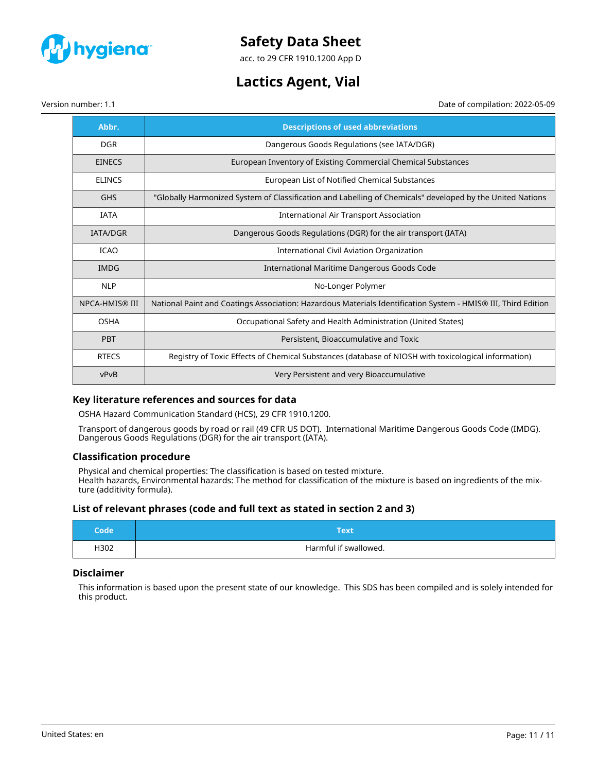

acc. to 29 CFR 1910.1200 App D

# **Lactics Agent, Vial**

Version number: 1.1 Date of compilation: 2022-05-09

| Abbr.           | <b>Descriptions of used abbreviations</b>                                                                     |  |
|-----------------|---------------------------------------------------------------------------------------------------------------|--|
| <b>DGR</b>      | Dangerous Goods Regulations (see IATA/DGR)                                                                    |  |
| <b>EINECS</b>   | European Inventory of Existing Commercial Chemical Substances                                                 |  |
| <b>ELINCS</b>   | European List of Notified Chemical Substances                                                                 |  |
| <b>GHS</b>      | "Globally Harmonized System of Classification and Labelling of Chemicals" developed by the United Nations     |  |
| <b>IATA</b>     | International Air Transport Association                                                                       |  |
| <b>IATA/DGR</b> | Dangerous Goods Regulations (DGR) for the air transport (IATA)                                                |  |
| <b>ICAO</b>     | <b>International Civil Aviation Organization</b>                                                              |  |
| <b>IMDG</b>     | International Maritime Dangerous Goods Code                                                                   |  |
| <b>NLP</b>      | No-Longer Polymer                                                                                             |  |
| NPCA-HMIS® III  | National Paint and Coatings Association: Hazardous Materials Identification System - HMIS® III, Third Edition |  |
| <b>OSHA</b>     | Occupational Safety and Health Administration (United States)                                                 |  |
| PBT             | Persistent, Bioaccumulative and Toxic                                                                         |  |
| <b>RTECS</b>    | Registry of Toxic Effects of Chemical Substances (database of NIOSH with toxicological information)           |  |
| vPvB            | Very Persistent and very Bioaccumulative                                                                      |  |

# **Key literature references and sources for data**

OSHA Hazard Communication Standard (HCS), 29 CFR 1910.1200.

Transport of dangerous goods by road or rail (49 CFR US DOT). International Maritime Dangerous Goods Code (IMDG). Dangerous Goods Regulations (DGR) for the air transport (IATA).

# **Classification procedure**

Physical and chemical properties: The classification is based on tested mixture. Health hazards, Environmental hazards: The method for classification of the mixture is based on ingredients of the mixture (additivity formula).

### **List of relevant phrases (code and full text as stated in section 2 and 3)**

| Code | Гехt                  |  |
|------|-----------------------|--|
| H302 | Harmful if swallowed. |  |

### **Disclaimer**

This information is based upon the present state of our knowledge. This SDS has been compiled and is solely intended for this product.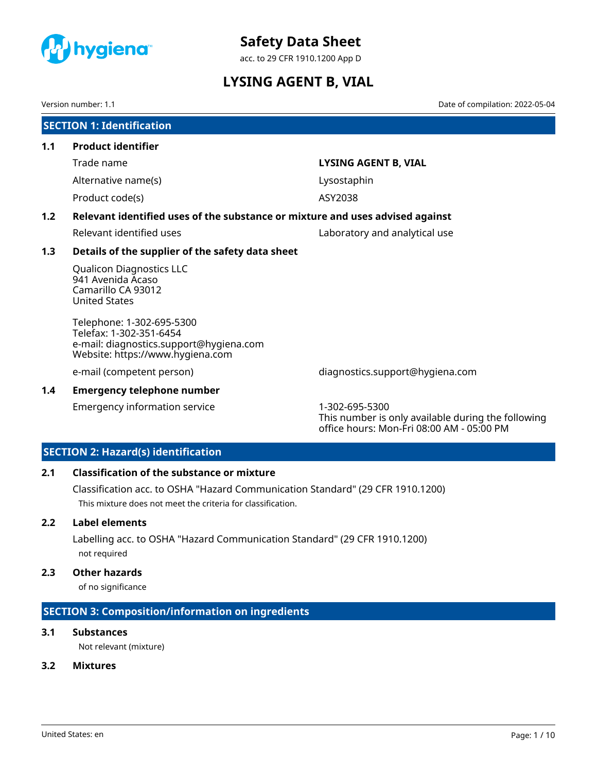<span id="page-25-0"></span>

acc. to 29 CFR 1910.1200 App D

# **LYSING AGENT B, VIAL**

Version number: 1.1 Date of compilation: 2022-05-04

|                                                                                      | <b>SECTION 1: Identification</b>                                                                                                    |                                 |  |
|--------------------------------------------------------------------------------------|-------------------------------------------------------------------------------------------------------------------------------------|---------------------------------|--|
| 1.1                                                                                  | <b>Product identifier</b>                                                                                                           |                                 |  |
|                                                                                      | Trade name                                                                                                                          | LYSING AGENT B, VIAL            |  |
|                                                                                      | Alternative name(s)                                                                                                                 | Lysostaphin                     |  |
|                                                                                      | Product code(s)                                                                                                                     | ASY2038                         |  |
| Relevant identified uses of the substance or mixture and uses advised against<br>1.2 |                                                                                                                                     |                                 |  |
|                                                                                      | Relevant identified uses                                                                                                            | Laboratory and analytical use   |  |
| 1.3                                                                                  | Details of the supplier of the safety data sheet                                                                                    |                                 |  |
|                                                                                      | <b>Qualicon Diagnostics LLC</b><br>941 Avenida Acaso<br>Camarillo CA 93012<br><b>United States</b>                                  |                                 |  |
|                                                                                      | Telephone: 1-302-695-5300<br>Telefax: 1-302-351-6454<br>e-mail: diagnostics.support@hygiena.com<br>Website: https://www.hygiena.com |                                 |  |
|                                                                                      | e-mail (competent person)                                                                                                           | diagnostics.support@hygiena.com |  |

# **1.4 Emergency telephone number**

Emergency information service 1-302-695-5300

This number is only available during the following office hours: Mon-Fri 08:00 AM - 05:00 PM

# **SECTION 2: Hazard(s) identification**

# **2.1 Classification of the substance or mixture**

Classification acc. to OSHA "Hazard Communication Standard" (29 CFR 1910.1200) This mixture does not meet the criteria for classification.

### **2.2 Label elements**

Labelling acc. to OSHA "Hazard Communication Standard" (29 CFR 1910.1200) not required

# **2.3 Other hazards**

of no significance

# **SECTION 3: Composition/information on ingredients**

# **3.1 Substances**

Not relevant (mixture)

### **3.2 Mixtures**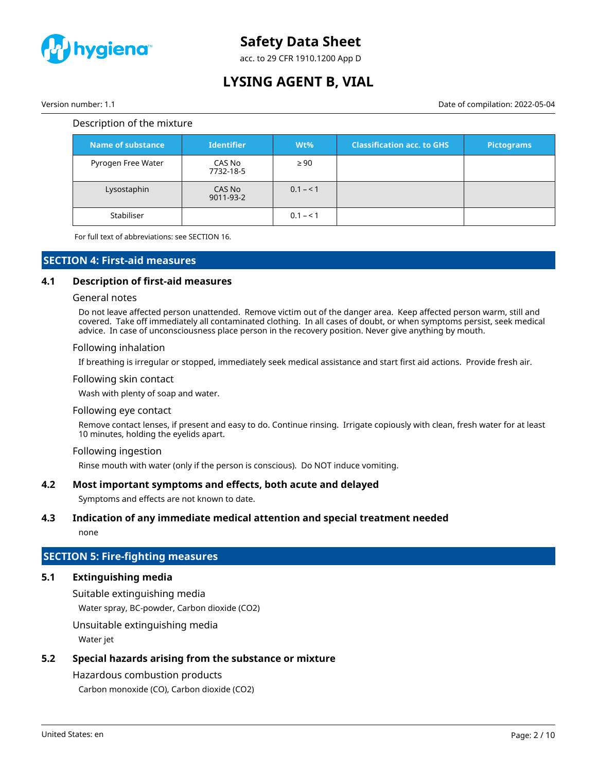

acc. to 29 CFR 1910.1200 App D

# **LYSING AGENT B, VIAL**

Version number: 1.1 Date of compilation: 2022-05-04

#### Description of the mixture

| Name of substance  | <b>Identifier</b>   | $Wt\%$    | <b>Classification acc. to GHS</b> | Pictograms |
|--------------------|---------------------|-----------|-----------------------------------|------------|
| Pyrogen Free Water | CAS No<br>7732-18-5 | $\geq 90$ |                                   |            |
| Lysostaphin        | CAS No<br>9011-93-2 | $0.1 - 1$ |                                   |            |
| Stabiliser         |                     | $0.1 - 1$ |                                   |            |

For full text of abbreviations: see SECTION 16.

### **SECTION 4: First-aid measures**

### **4.1 Description of first-aid measures**

#### General notes

Do not leave affected person unattended. Remove victim out of the danger area. Keep affected person warm, still and covered. Take off immediately all contaminated clothing. In all cases of doubt, or when symptoms persist, seek medical advice. In case of unconsciousness place person in the recovery position. Never give anything by mouth.

#### Following inhalation

If breathing is irregular or stopped, immediately seek medical assistance and start first aid actions. Provide fresh air.

#### Following skin contact

Wash with plenty of soap and water.

#### Following eye contact

Remove contact lenses, if present and easy to do. Continue rinsing. Irrigate copiously with clean, fresh water for at least 10 minutes, holding the eyelids apart.

#### Following ingestion

Rinse mouth with water (only if the person is conscious). Do NOT induce vomiting.

### **4.2 Most important symptoms and effects, both acute and delayed**

Symptoms and effects are not known to date.

### **4.3 Indication of any immediate medical attention and special treatment needed**

none

### **SECTION 5: Fire-fighting measures**

### **5.1 Extinguishing media**

Suitable extinguishing media

Water spray, BC-powder, Carbon dioxide (CO2)

Unsuitable extinguishing media

Water jet

# **5.2 Special hazards arising from the substance or mixture**

# Hazardous combustion products

Carbon monoxide (CO), Carbon dioxide (CO2)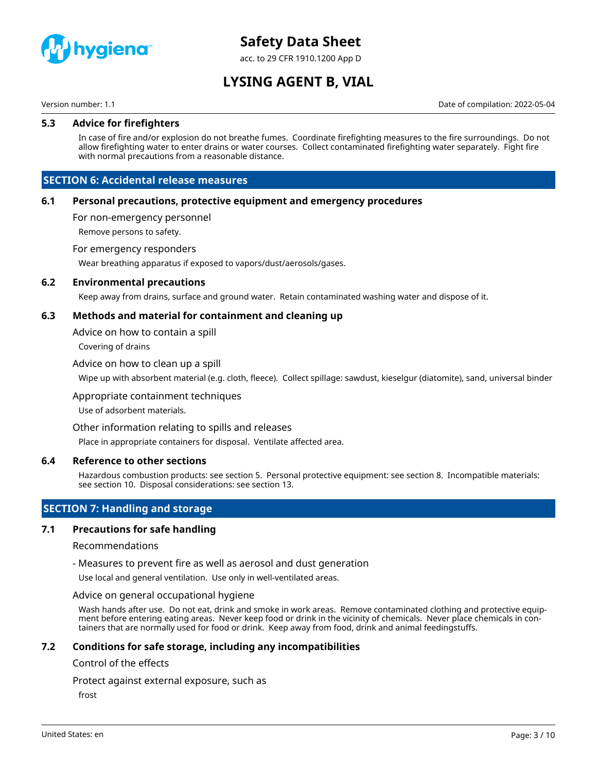

acc. to 29 CFR 1910.1200 App D

# **LYSING AGENT B, VIAL**

Version number: 1.1 Date of compilation: 2022-05-04

#### **5.3 Advice for firefighters**

In case of fire and/or explosion do not breathe fumes. Coordinate firefighting measures to the fire surroundings. Do not allow firefighting water to enter drains or water courses. Collect contaminated firefighting water separately. Fight fire with normal precautions from a reasonable distance.

### **SECTION 6: Accidental release measures**

#### **6.1 Personal precautions, protective equipment and emergency procedures**

For non-emergency personnel

Remove persons to safety.

#### For emergency responders

Wear breathing apparatus if exposed to vapors/dust/aerosols/gases.

#### **6.2 Environmental precautions**

Keep away from drains, surface and ground water. Retain contaminated washing water and dispose of it.

#### **6.3 Methods and material for containment and cleaning up**

Advice on how to contain a spill

Covering of drains

#### Advice on how to clean up a spill

Wipe up with absorbent material (e.g. cloth, fleece). Collect spillage: sawdust, kieselgur (diatomite), sand, universal binder

#### Appropriate containment techniques

Use of adsorbent materials.

#### Other information relating to spills and releases

Place in appropriate containers for disposal. Ventilate affected area.

#### **6.4 Reference to other sections**

Hazardous combustion products: see section 5. Personal protective equipment: see section 8. Incompatible materials: see section 10. Disposal considerations: see section 13.

# **SECTION 7: Handling and storage**

#### **7.1 Precautions for safe handling**

#### Recommendations

- Measures to prevent fire as well as aerosol and dust generation

Use local and general ventilation. Use only in well-ventilated areas.

#### Advice on general occupational hygiene

Wash hands after use. Do not eat, drink and smoke in work areas. Remove contaminated clothing and protective equipment before entering eating areas. Never keep food or drink in the vicinity of chemicals. Never place chemicals in containers that are normally used for food or drink. Keep away from food, drink and animal feedingstuffs.

#### **7.2 Conditions for safe storage, including any incompatibilities**

#### Control of the effects

Protect against external exposure, such as

frost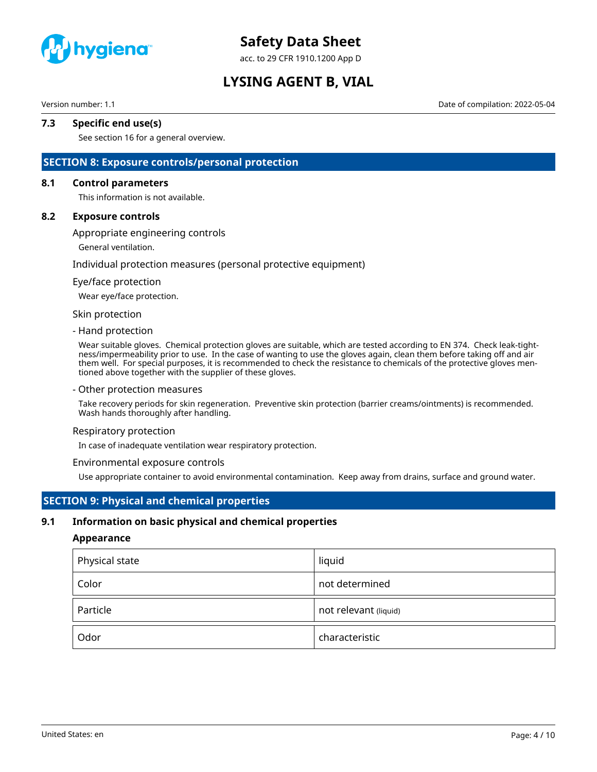

acc. to 29 CFR 1910.1200 App D

# **LYSING AGENT B, VIAL**

Version number: 1.1 Date of compilation: 2022-05-04

# **7.3 Specific end use(s)**

See section 16 for a general overview.

### **SECTION 8: Exposure controls/personal protection**

#### **8.1 Control parameters**

This information is not available.

#### **8.2 Exposure controls**

Appropriate engineering controls

General ventilation.

#### Individual protection measures (personal protective equipment)

#### Eye/face protection

Wear eye/face protection.

#### Skin protection

#### - Hand protection

Wear suitable gloves. Chemical protection gloves are suitable, which are tested according to EN 374. Check leak-tightness/impermeability prior to use. In the case of wanting to use the gloves again, clean them before taking off and air them well. For special purposes, it is recommended to check the resistance to chemicals of the protective gloves mentioned above together with the supplier of these gloves.

#### - Other protection measures

Take recovery periods for skin regeneration. Preventive skin protection (barrier creams/ointments) is recommended. Wash hands thoroughly after handling.

#### Respiratory protection

In case of inadequate ventilation wear respiratory protection.

#### Environmental exposure controls

Use appropriate container to avoid environmental contamination. Keep away from drains, surface and ground water.

# **SECTION 9: Physical and chemical properties**

#### **9.1 Information on basic physical and chemical properties**

#### **Appearance**

| Physical state | liquid                |
|----------------|-----------------------|
| Color          | not determined        |
| Particle       | not relevant (liquid) |
| Odor           | characteristic        |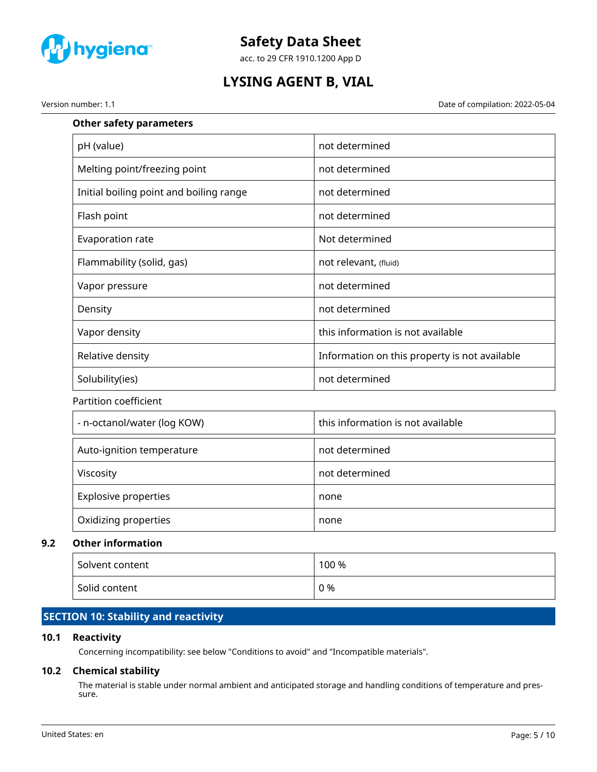

acc. to 29 CFR 1910.1200 App D

# **LYSING AGENT B, VIAL**

Version number: 1.1 Date of compilation: 2022-05-04

| <b>Other safety parameters</b>          |                                               |
|-----------------------------------------|-----------------------------------------------|
| pH (value)                              | not determined                                |
| Melting point/freezing point            | not determined                                |
| Initial boiling point and boiling range | not determined                                |
| Flash point                             | not determined                                |
| Evaporation rate                        | Not determined                                |
| Flammability (solid, gas)               | not relevant, (fluid)                         |
| Vapor pressure                          | not determined                                |
| Density                                 | not determined                                |
| Vapor density                           | this information is not available             |
| Relative density                        | Information on this property is not available |
| Solubility(ies)                         | not determined                                |
| Partition coefficient                   |                                               |
| - n-octanol/water (log KOW)             | this information is not available             |
| Auto-ignition temperature               | not determined                                |
| Viscosity                               | not determined                                |
| <b>Explosive properties</b>             | none                                          |
| Oxidizing properties                    | none                                          |
| <b>Other information</b>                |                                               |

### **9.2 Other information**

| Solvent content | 100 % |
|-----------------|-------|
| Solid content   | 0 %   |

# **SECTION 10: Stability and reactivity**

# **10.1 Reactivity**

Concerning incompatibility: see below "Conditions to avoid" and "Incompatible materials".

# **10.2 Chemical stability**

The material is stable under normal ambient and anticipated storage and handling conditions of temperature and pressure.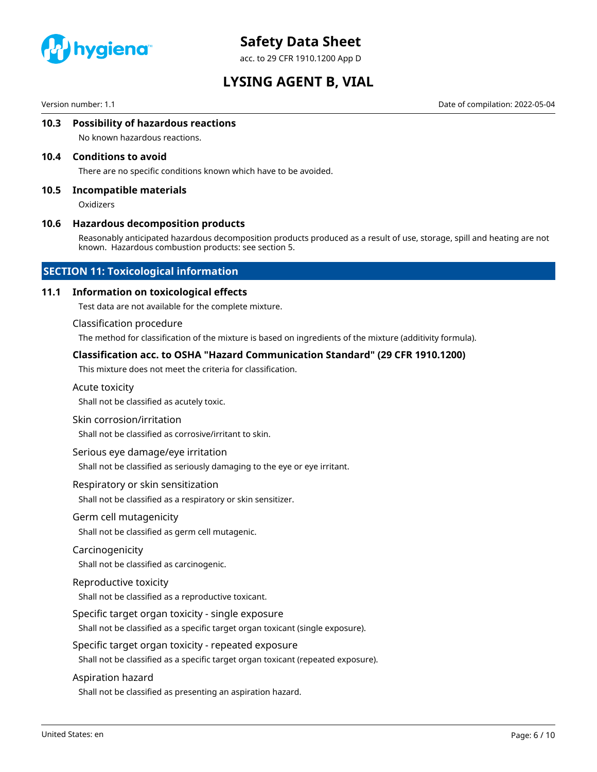

acc. to 29 CFR 1910.1200 App D

# **LYSING AGENT B, VIAL**

Version number: 1.1 Date of compilation: 2022-05-04

#### **10.3 Possibility of hazardous reactions**

No known hazardous reactions.

#### **10.4 Conditions to avoid**

There are no specific conditions known which have to be avoided.

#### **10.5 Incompatible materials**

**Oxidizers** 

#### **10.6 Hazardous decomposition products**

Reasonably anticipated hazardous decomposition products produced as a result of use, storage, spill and heating are not known. Hazardous combustion products: see section 5.

#### **SECTION 11: Toxicological information**

#### **11.1 Information on toxicological effects**

Test data are not available for the complete mixture.

#### Classification procedure

The method for classification of the mixture is based on ingredients of the mixture (additivity formula).

#### **Classification acc. to OSHA "Hazard Communication Standard" (29 CFR 1910.1200)**

This mixture does not meet the criteria for classification.

#### Acute toxicity

Shall not be classified as acutely toxic.

#### Skin corrosion/irritation

Shall not be classified as corrosive/irritant to skin.

#### Serious eye damage/eye irritation

Shall not be classified as seriously damaging to the eye or eye irritant.

#### Respiratory or skin sensitization

Shall not be classified as a respiratory or skin sensitizer.

#### Germ cell mutagenicity

Shall not be classified as germ cell mutagenic.

#### Carcinogenicity

Shall not be classified as carcinogenic.

#### Reproductive toxicity

Shall not be classified as a reproductive toxicant.

#### Specific target organ toxicity - single exposure

Shall not be classified as a specific target organ toxicant (single exposure).

#### Specific target organ toxicity - repeated exposure

Shall not be classified as a specific target organ toxicant (repeated exposure).

#### Aspiration hazard

Shall not be classified as presenting an aspiration hazard.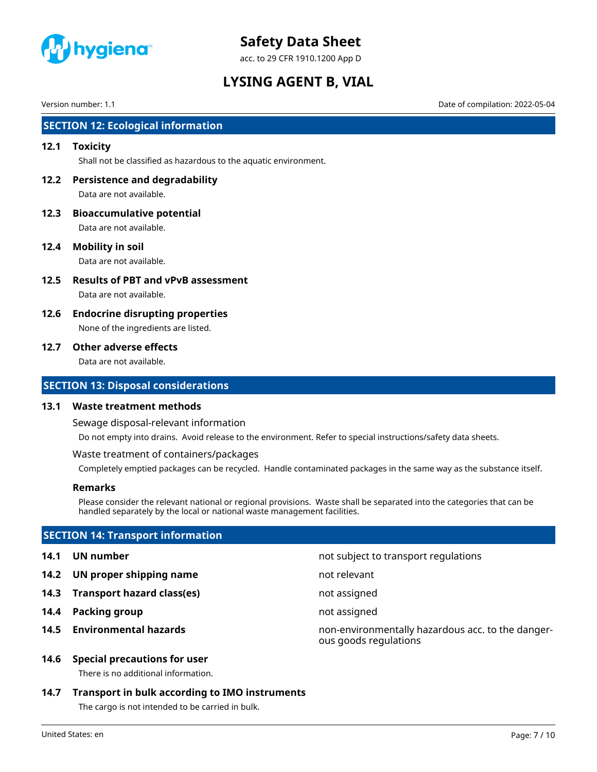

acc. to 29 CFR 1910.1200 App D

# **LYSING AGENT B, VIAL**

Version number: 1.1 Date of compilation: 2022-05-04

# **SECTION 12: Ecological information**

#### **12.1 Toxicity**

Shall not be classified as hazardous to the aquatic environment.

**12.2 Persistence and degradability** Data are not available.

- **12.3 Bioaccumulative potential** Data are not available.
- **12.4 Mobility in soil** Data are not available.

- **12.5 Results of PBT and vPvB assessment** Data are not available.
- **12.6 Endocrine disrupting properties** None of the ingredients are listed.

#### **12.7 Other adverse effects**

Data are not available.

#### **SECTION 13: Disposal considerations**

#### **13.1 Waste treatment methods**

Sewage disposal-relevant information

Do not empty into drains. Avoid release to the environment. Refer to special instructions/safety data sheets.

Waste treatment of containers/packages

Completely emptied packages can be recycled. Handle contaminated packages in the same way as the substance itself.

#### **Remarks**

Please consider the relevant national or regional provisions. Waste shall be separated into the categories that can be handled separately by the local or national waste management facilities.

### **SECTION 14: Transport information**

- 
- **14.2 UN proper shipping name** not relevant
- **14.3 Transport hazard class(es)** not assigned
- **14.4 Packing group not assigned**
- 

### **14.6 Special precautions for user**

There is no additional information.

### **14.7 Transport in bulk according to IMO instruments**

The cargo is not intended to be carried in bulk.

United States: en Page: 7 / 10

**14.1 UN number** not subject to transport regulations

**14.5 Environmental hazards** non-environmentally hazardous acc. to the dangerous goods regulations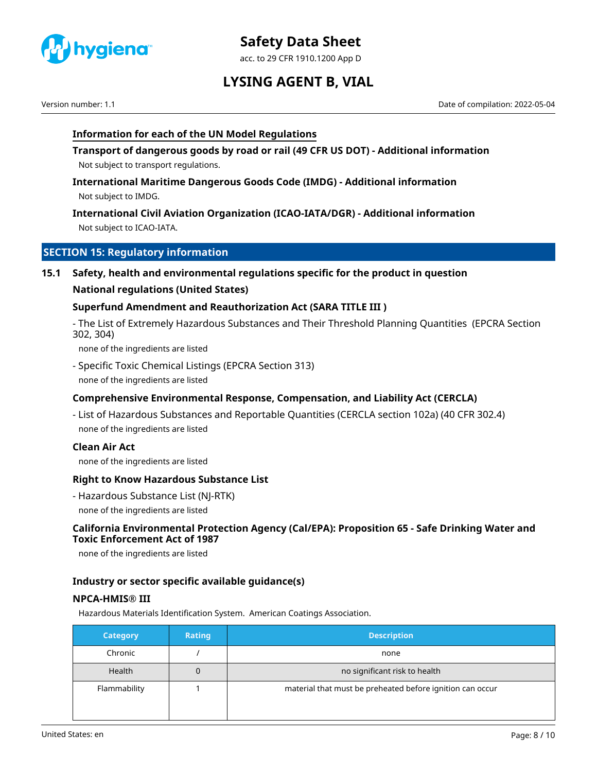

acc. to 29 CFR 1910.1200 App D

# **LYSING AGENT B, VIAL**

Version number: 1.1 Date of compilation: 2022-05-04

# **Information for each of the UN Model Regulations**

**Transport of dangerous goods by road or rail (49 CFR US DOT) - Additional information** Not subject to transport regulations.

**International Maritime Dangerous Goods Code (IMDG) - Additional information** Not subject to IMDG.

**International Civil Aviation Organization (ICAO-IATA/DGR) - Additional information** Not subject to ICAO-IATA.

# **SECTION 15: Regulatory information**

**15.1 Safety, health and environmental regulations specific for the product in question**

### **National regulations (United States)**

### **Superfund Amendment and Reauthorization Act (SARA TITLE III )**

- The List of Extremely Hazardous Substances and Their Threshold Planning Quantities (EPCRA Section 302, 304)

none of the ingredients are listed

- Specific Toxic Chemical Listings (EPCRA Section 313) none of the ingredients are listed

# **Comprehensive Environmental Response, Compensation, and Liability Act (CERCLA)**

- List of Hazardous Substances and Reportable Quantities (CERCLA section 102a) (40 CFR 302.4) none of the ingredients are listed

### **Clean Air Act**

none of the ingredients are listed

### **Right to Know Hazardous Substance List**

- Hazardous Substance List (NJ-RTK) none of the ingredients are listed

### **California Environmental Protection Agency (Cal/EPA): Proposition 65 - Safe Drinking Water and Toxic Enforcement Act of 1987**

none of the ingredients are listed

### **Industry or sector specific available guidance(s)**

### **NPCA-HMIS® III**

Hazardous Materials Identification System. American Coatings Association.

| <b>Category</b> | <b>Rating</b> | <b>Description</b>                                        |
|-----------------|---------------|-----------------------------------------------------------|
| Chronic         |               | none                                                      |
| Health          | 0             | no significant risk to health                             |
| Flammability    |               | material that must be preheated before ignition can occur |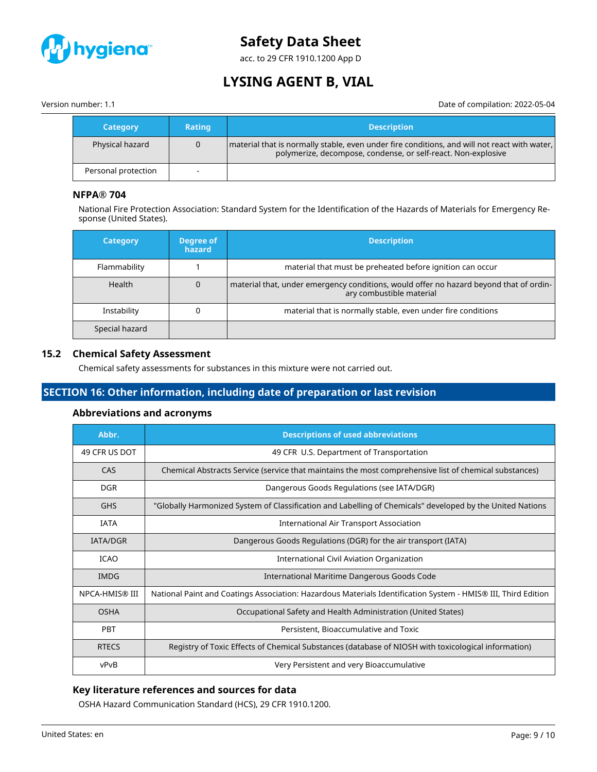

acc. to 29 CFR 1910.1200 App D

# **LYSING AGENT B, VIAL**

Version number: 1.1 Date of compilation: 2022-05-04

| <b>Category</b>     | <b>Rating</b> | <b>Description</b>                                                                                                                                              |
|---------------------|---------------|-----------------------------------------------------------------------------------------------------------------------------------------------------------------|
| Physical hazard     |               | material that is normally stable, even under fire conditions, and will not react with water,  <br>polymerize, decompose, condense, or self-react. Non-explosive |
| Personal protection |               |                                                                                                                                                                 |

# **NFPA® 704**

National Fire Protection Association: Standard System for the Identification of the Hazards of Materials for Emergency Response (United States).

| <b>Category</b> | Degree of<br>hazard | <b>Description</b>                                                                                                 |
|-----------------|---------------------|--------------------------------------------------------------------------------------------------------------------|
| Flammability    |                     | material that must be preheated before ignition can occur                                                          |
| Health          |                     | material that, under emergency conditions, would offer no hazard beyond that of ordin-<br>ary combustible material |
| Instability     |                     | material that is normally stable, even under fire conditions                                                       |
| Special hazard  |                     |                                                                                                                    |

### **15.2 Chemical Safety Assessment**

Chemical safety assessments for substances in this mixture were not carried out.

# **SECTION 16: Other information, including date of preparation or last revision**

### **Abbreviations and acronyms**

| Abbr.           | <b>Descriptions of used abbreviations</b>                                                                     |  |
|-----------------|---------------------------------------------------------------------------------------------------------------|--|
| 49 CFR US DOT   | 49 CFR U.S. Department of Transportation                                                                      |  |
| CAS             | Chemical Abstracts Service (service that maintains the most comprehensive list of chemical substances)        |  |
| <b>DGR</b>      | Dangerous Goods Regulations (see IATA/DGR)                                                                    |  |
| <b>GHS</b>      | "Globally Harmonized System of Classification and Labelling of Chemicals" developed by the United Nations     |  |
| <b>IATA</b>     | International Air Transport Association                                                                       |  |
| <b>IATA/DGR</b> | Dangerous Goods Regulations (DGR) for the air transport (IATA)                                                |  |
| <b>ICAO</b>     | <b>International Civil Aviation Organization</b>                                                              |  |
| <b>IMDG</b>     | International Maritime Dangerous Goods Code                                                                   |  |
| NPCA-HMIS® III  | National Paint and Coatings Association: Hazardous Materials Identification System - HMIS® III, Third Edition |  |
| <b>OSHA</b>     | Occupational Safety and Health Administration (United States)                                                 |  |
| PBT             | Persistent, Bioaccumulative and Toxic                                                                         |  |
| <b>RTECS</b>    | Registry of Toxic Effects of Chemical Substances (database of NIOSH with toxicological information)           |  |
| vPvB            | Very Persistent and very Bioaccumulative                                                                      |  |

# **Key literature references and sources for data**

OSHA Hazard Communication Standard (HCS), 29 CFR 1910.1200.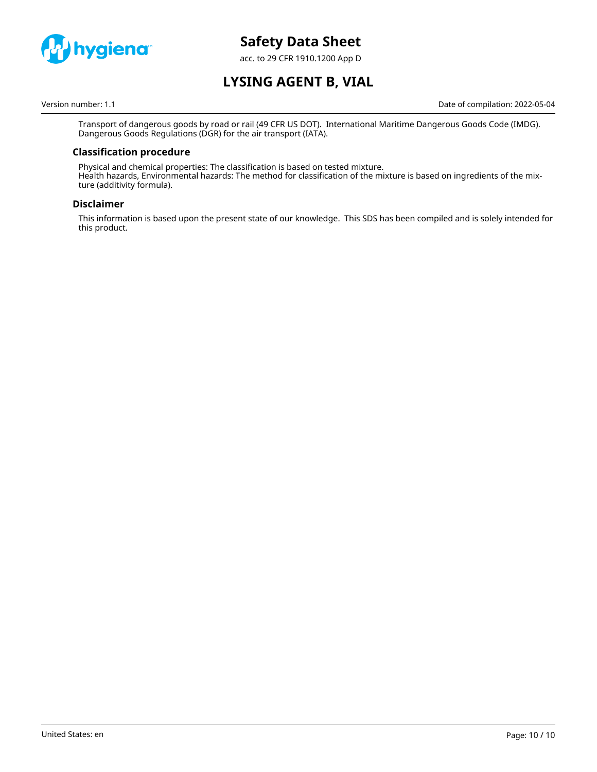

acc. to 29 CFR 1910.1200 App D

# **LYSING AGENT B, VIAL**

Version number: 1.1 Date of compilation: 2022-05-04

Transport of dangerous goods by road or rail (49 CFR US DOT). International Maritime Dangerous Goods Code (IMDG). Dangerous Goods Regulations (DGR) for the air transport (IATA).

### **Classification procedure**

Physical and chemical properties: The classification is based on tested mixture. Health hazards, Environmental hazards: The method for classification of the mixture is based on ingredients of the mixture (additivity formula).

### **Disclaimer**

This information is based upon the present state of our knowledge. This SDS has been compiled and is solely intended for this product.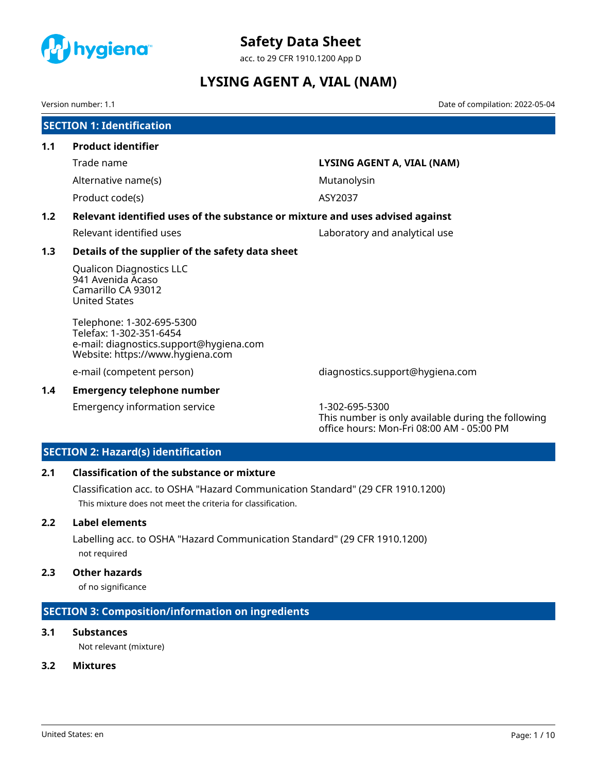<span id="page-35-0"></span>

acc. to 29 CFR 1910.1200 App D

# **LYSING AGENT A, VIAL (NAM)**

Version number: 1.1 Date of compilation: 2022-05-04

|     | <b>SECTION 1: Identification</b>                                                                                                    |                                 |  |  |  |
|-----|-------------------------------------------------------------------------------------------------------------------------------------|---------------------------------|--|--|--|
| 1.1 | <b>Product identifier</b>                                                                                                           |                                 |  |  |  |
|     | Trade name                                                                                                                          | LYSING AGENT A, VIAL (NAM)      |  |  |  |
|     | Alternative name(s)                                                                                                                 | Mutanolysin                     |  |  |  |
|     | Product code(s)                                                                                                                     | ASY2037                         |  |  |  |
| 1.2 | Relevant identified uses of the substance or mixture and uses advised against                                                       |                                 |  |  |  |
|     | Relevant identified uses                                                                                                            | Laboratory and analytical use   |  |  |  |
| 1.3 | Details of the supplier of the safety data sheet                                                                                    |                                 |  |  |  |
|     | <b>Qualicon Diagnostics LLC</b><br>941 Avenida Acaso<br>Camarillo CA 93012<br><b>United States</b>                                  |                                 |  |  |  |
|     | Telephone: 1-302-695-5300<br>Telefax: 1-302-351-6454<br>e-mail: diagnostics.support@hygiena.com<br>Website: https://www.hygiena.com |                                 |  |  |  |
|     | e-mail (competent person)                                                                                                           | diagnostics.support@hygiena.com |  |  |  |

### **1.4 Emergency telephone number**

Emergency information service 1-302-695-5300

This number is only available during the following office hours: Mon-Fri 08:00 AM - 05:00 PM

# **SECTION 2: Hazard(s) identification**

# **2.1 Classification of the substance or mixture**

Classification acc. to OSHA "Hazard Communication Standard" (29 CFR 1910.1200) This mixture does not meet the criteria for classification.

### **2.2 Label elements**

Labelling acc. to OSHA "Hazard Communication Standard" (29 CFR 1910.1200) not required

### **2.3 Other hazards**

of no significance

# **SECTION 3: Composition/information on ingredients**

# **3.1 Substances**

Not relevant (mixture)

### **3.2 Mixtures**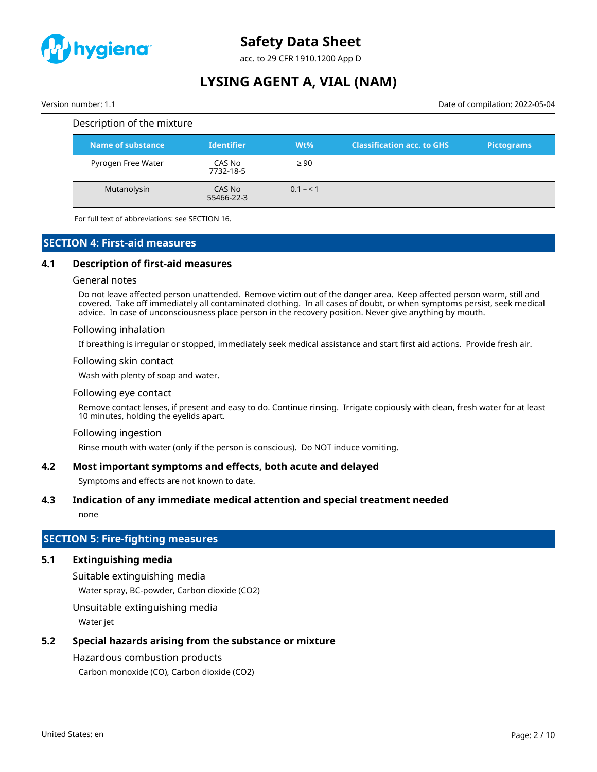

acc. to 29 CFR 1910.1200 App D

# **LYSING AGENT A, VIAL (NAM)**

Version number: 1.1 Date of compilation: 2022-05-04

#### Description of the mixture

| <b>Name of substance</b> | <b>Identifier</b>    | $Wt\%$    | <b>Classification acc. to GHS</b> | <b>Pictograms</b> |
|--------------------------|----------------------|-----------|-----------------------------------|-------------------|
| Pyrogen Free Water       | CAS No<br>7732-18-5  | $\geq 90$ |                                   |                   |
| Mutanolysin              | CAS No<br>55466-22-3 | $0.1 - 1$ |                                   |                   |

For full text of abbreviations: see SECTION 16.

### **SECTION 4: First-aid measures**

#### **4.1 Description of first-aid measures**

#### General notes

Do not leave affected person unattended. Remove victim out of the danger area. Keep affected person warm, still and covered. Take off immediately all contaminated clothing. In all cases of doubt, or when symptoms persist, seek medical advice. In case of unconsciousness place person in the recovery position. Never give anything by mouth.

#### Following inhalation

If breathing is irregular or stopped, immediately seek medical assistance and start first aid actions. Provide fresh air.

#### Following skin contact

Wash with plenty of soap and water.

#### Following eye contact

Remove contact lenses, if present and easy to do. Continue rinsing. Irrigate copiously with clean, fresh water for at least 10 minutes, holding the eyelids apart.

#### Following ingestion

Rinse mouth with water (only if the person is conscious). Do NOT induce vomiting.

#### **4.2 Most important symptoms and effects, both acute and delayed**

Symptoms and effects are not known to date.

#### **4.3 Indication of any immediate medical attention and special treatment needed**

none

# **SECTION 5: Fire-fighting measures**

# **5.1 Extinguishing media**

Suitable extinguishing media

Water spray, BC-powder, Carbon dioxide (CO2)

Unsuitable extinguishing media

Water jet

# **5.2 Special hazards arising from the substance or mixture**

# Hazardous combustion products

Carbon monoxide (CO), Carbon dioxide (CO2)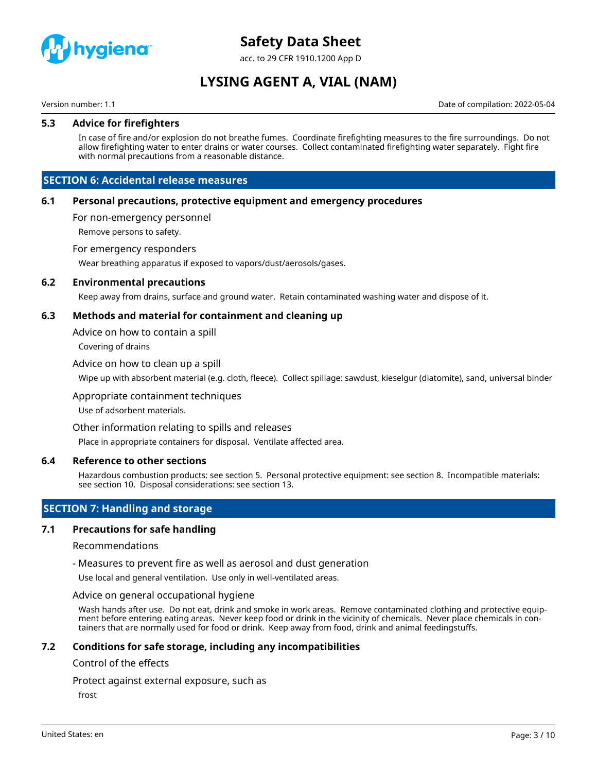

acc. to 29 CFR 1910.1200 App D

# **LYSING AGENT A, VIAL (NAM)**

Version number: 1.1 Date of compilation: 2022-05-04

#### **5.3 Advice for firefighters**

In case of fire and/or explosion do not breathe fumes. Coordinate firefighting measures to the fire surroundings. Do not allow firefighting water to enter drains or water courses. Collect contaminated firefighting water separately. Fight fire with normal precautions from a reasonable distance.

### **SECTION 6: Accidental release measures**

#### **6.1 Personal precautions, protective equipment and emergency procedures**

For non-emergency personnel

Remove persons to safety.

#### For emergency responders

Wear breathing apparatus if exposed to vapors/dust/aerosols/gases.

#### **6.2 Environmental precautions**

Keep away from drains, surface and ground water. Retain contaminated washing water and dispose of it.

#### **6.3 Methods and material for containment and cleaning up**

Advice on how to contain a spill

Covering of drains

#### Advice on how to clean up a spill

Wipe up with absorbent material (e.g. cloth, fleece). Collect spillage: sawdust, kieselgur (diatomite), sand, universal binder

#### Appropriate containment techniques

Use of adsorbent materials.

#### Other information relating to spills and releases

Place in appropriate containers for disposal. Ventilate affected area.

#### **6.4 Reference to other sections**

Hazardous combustion products: see section 5. Personal protective equipment: see section 8. Incompatible materials: see section 10. Disposal considerations: see section 13.

# **SECTION 7: Handling and storage**

#### **7.1 Precautions for safe handling**

#### Recommendations

- Measures to prevent fire as well as aerosol and dust generation

Use local and general ventilation. Use only in well-ventilated areas.

#### Advice on general occupational hygiene

Wash hands after use. Do not eat, drink and smoke in work areas. Remove contaminated clothing and protective equipment before entering eating areas. Never keep food or drink in the vicinity of chemicals. Never place chemicals in containers that are normally used for food or drink. Keep away from food, drink and animal feedingstuffs.

#### **7.2 Conditions for safe storage, including any incompatibilities**

#### Control of the effects

Protect against external exposure, such as

frost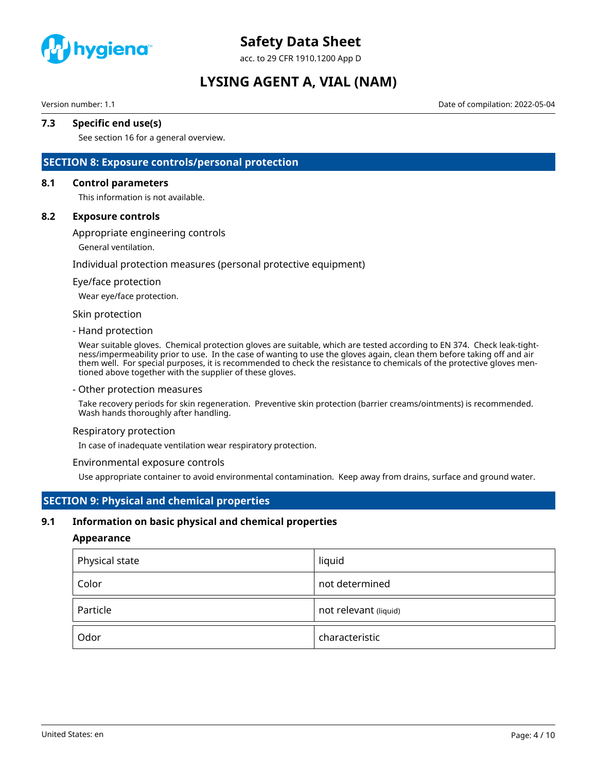

acc. to 29 CFR 1910.1200 App D

# **LYSING AGENT A, VIAL (NAM)**

Version number: 1.1 Date of compilation: 2022-05-04

# **7.3 Specific end use(s)**

See section 16 for a general overview.

### **SECTION 8: Exposure controls/personal protection**

#### **8.1 Control parameters**

This information is not available.

#### **8.2 Exposure controls**

Appropriate engineering controls

General ventilation.

Individual protection measures (personal protective equipment)

#### Eye/face protection

Wear eye/face protection.

#### Skin protection

#### - Hand protection

Wear suitable gloves. Chemical protection gloves are suitable, which are tested according to EN 374. Check leak-tightness/impermeability prior to use. In the case of wanting to use the gloves again, clean them before taking off and air them well. For special purposes, it is recommended to check the resistance to chemicals of the protective gloves mentioned above together with the supplier of these gloves.

#### - Other protection measures

Take recovery periods for skin regeneration. Preventive skin protection (barrier creams/ointments) is recommended. Wash hands thoroughly after handling.

#### Respiratory protection

In case of inadequate ventilation wear respiratory protection.

#### Environmental exposure controls

Use appropriate container to avoid environmental contamination. Keep away from drains, surface and ground water.

### **SECTION 9: Physical and chemical properties**

#### **9.1 Information on basic physical and chemical properties**

#### **Appearance**

| Physical state | liquid                |
|----------------|-----------------------|
| Color          | not determined        |
| Particle       | not relevant (liquid) |
| Odor           | characteristic        |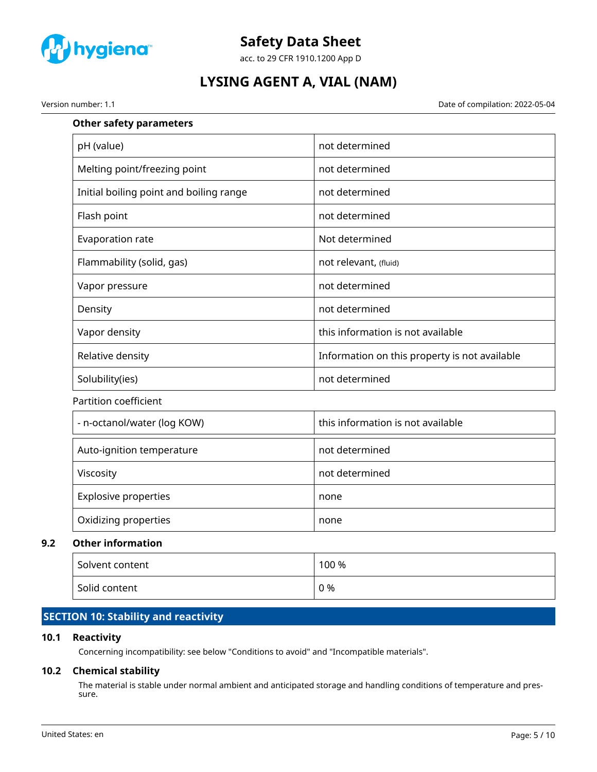

acc. to 29 CFR 1910.1200 App D

# **LYSING AGENT A, VIAL (NAM)**

Version number: 1.1 Date of compilation: 2022-05-04

# **Other safety parameters**

| pH (value)                              | not determined                                |
|-----------------------------------------|-----------------------------------------------|
| Melting point/freezing point            | not determined                                |
| Initial boiling point and boiling range | not determined                                |
| Flash point                             | not determined                                |
| Evaporation rate                        | Not determined                                |
| Flammability (solid, gas)               | not relevant, (fluid)                         |
| Vapor pressure                          | not determined                                |
| Density                                 | not determined                                |
| Vapor density                           | this information is not available             |
| Relative density                        | Information on this property is not available |
| Solubility(ies)                         | not determined                                |
| Partition coefficient                   |                                               |
| - n-octanol/water (log KOW)             | this information is not available             |
| Auto-ignition temperature               | not determined                                |
| Viscosity                               | not determined                                |
| <b>Explosive properties</b>             | none                                          |
| Oxidizing properties                    | none                                          |

### **9.2 Other information**

| Solvent content | 100 % |
|-----------------|-------|
| Solid content   | 0 %   |

# **SECTION 10: Stability and reactivity**

# **10.1 Reactivity**

Concerning incompatibility: see below "Conditions to avoid" and "Incompatible materials".

# **10.2 Chemical stability**

The material is stable under normal ambient and anticipated storage and handling conditions of temperature and pressure.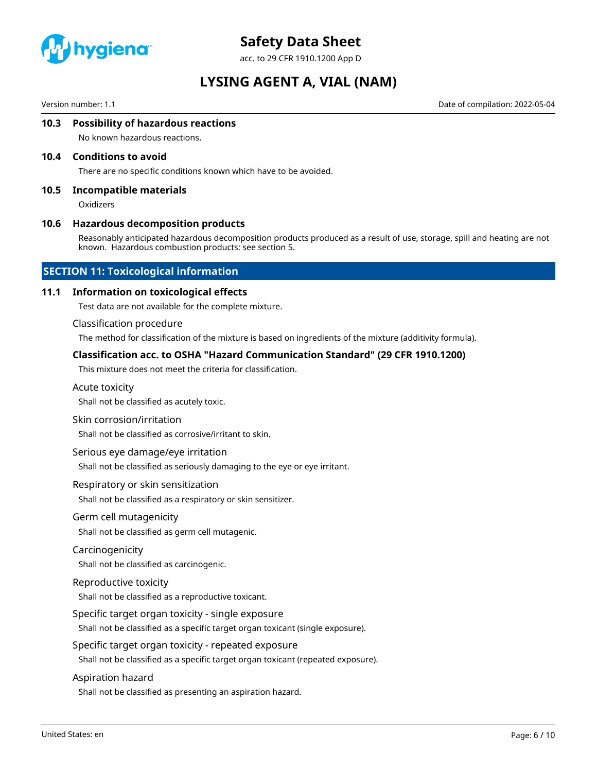

acc. to 29 CFR 1910.1200 App D

# **LYSING AGENT A, VIAL (NAM)**

Version number: 1.1 Date of compilation: 2022-05-04

#### **10.3 Possibility of hazardous reactions**

No known hazardous reactions.

#### **10.4 Conditions to avoid**

There are no specific conditions known which have to be avoided.

#### **10.5 Incompatible materials**

**Oxidizers** 

#### **10.6 Hazardous decomposition products**

Reasonably anticipated hazardous decomposition products produced as a result of use, storage, spill and heating are not known. Hazardous combustion products: see section 5.

### **SECTION 11: Toxicological information**

#### **11.1 Information on toxicological effects**

Test data are not available for the complete mixture.

#### Classification procedure

The method for classification of the mixture is based on ingredients of the mixture (additivity formula).

#### **Classification acc. to OSHA "Hazard Communication Standard" (29 CFR 1910.1200)**

This mixture does not meet the criteria for classification.

#### Acute toxicity

Shall not be classified as acutely toxic.

#### Skin corrosion/irritation

Shall not be classified as corrosive/irritant to skin.

#### Serious eye damage/eye irritation

Shall not be classified as seriously damaging to the eye or eye irritant.

#### Respiratory or skin sensitization

Shall not be classified as a respiratory or skin sensitizer.

#### Germ cell mutagenicity

Shall not be classified as germ cell mutagenic.

#### Carcinogenicity

Shall not be classified as carcinogenic.

#### Reproductive toxicity

Shall not be classified as a reproductive toxicant.

#### Specific target organ toxicity - single exposure

Shall not be classified as a specific target organ toxicant (single exposure).

#### Specific target organ toxicity - repeated exposure

Shall not be classified as a specific target organ toxicant (repeated exposure).

#### Aspiration hazard

Shall not be classified as presenting an aspiration hazard.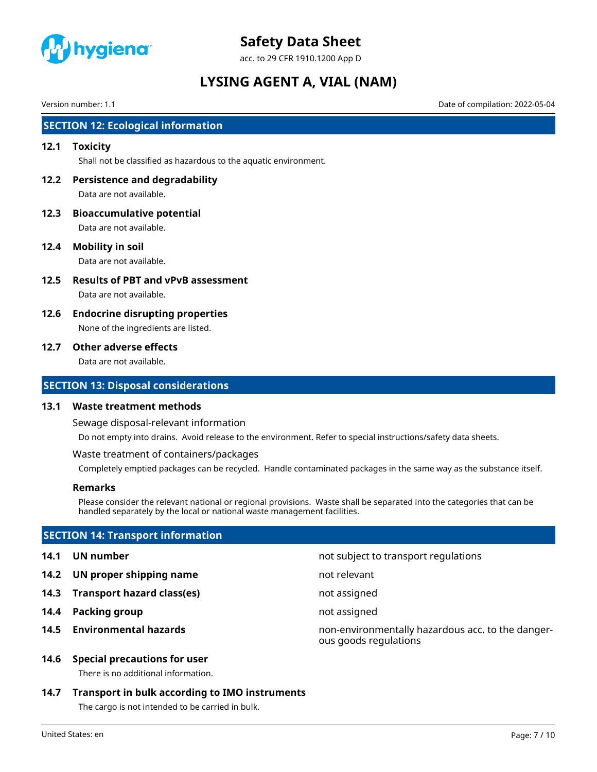

acc. to 29 CFR 1910.1200 App D

# **LYSING AGENT A, VIAL (NAM)**

Version number: 1.1 Date of compilation: 2022-05-04

# **SECTION 12: Ecological information**

#### **12.1 Toxicity**

Shall not be classified as hazardous to the aquatic environment.

**12.2 Persistence and degradability**

Data are not available.

- **12.3 Bioaccumulative potential** Data are not available.
- **12.4 Mobility in soil**

Data are not available.

- **12.5 Results of PBT and vPvB assessment** Data are not available.
- **12.6 Endocrine disrupting properties** None of the ingredients are listed.

#### **12.7 Other adverse effects**

Data are not available.

### **SECTION 13: Disposal considerations**

#### **13.1 Waste treatment methods**

Sewage disposal-relevant information

Do not empty into drains. Avoid release to the environment. Refer to special instructions/safety data sheets.

Waste treatment of containers/packages

Completely emptied packages can be recycled. Handle contaminated packages in the same way as the substance itself.

### **Remarks**

Please consider the relevant national or regional provisions. Waste shall be separated into the categories that can be handled separately by the local or national waste management facilities.

# **SECTION 14: Transport information**

- 
- **14.2 UN proper shipping name** not relevant
- **14.3 Transport hazard class(es)** not assigned
- **14.4 Packing group not assigned**
- 

### **14.6 Special precautions for user**

There is no additional information.

# **14.7 Transport in bulk according to IMO instruments**

The cargo is not intended to be carried in bulk.

United States: en Page: 7 / 10

**14.1 UN number** not subject to transport regulations

- 
- 
- 
- **14.5 Environmental hazards** non-environmentally hazardous acc. to the dangerous goods regulations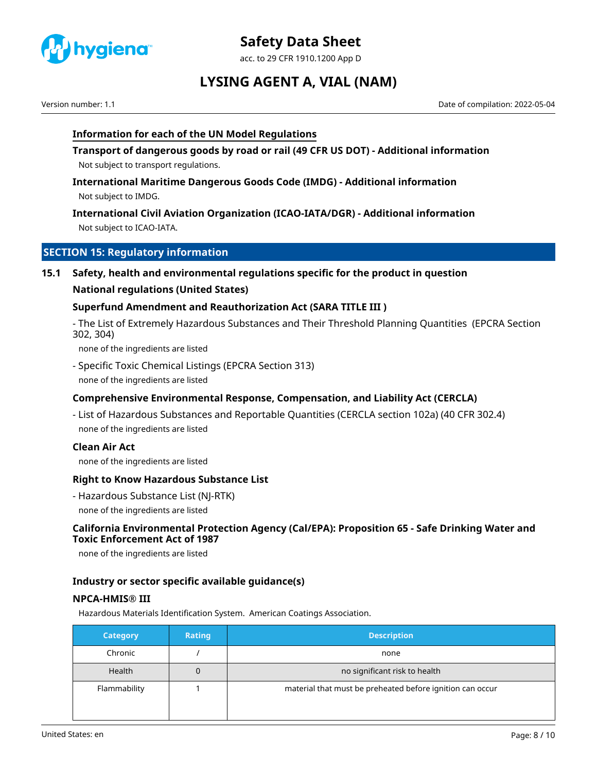

acc. to 29 CFR 1910.1200 App D

# **LYSING AGENT A, VIAL (NAM)**

Version number: 1.1 Date of compilation: 2022-05-04

# **Information for each of the UN Model Regulations**

**Transport of dangerous goods by road or rail (49 CFR US DOT) - Additional information** Not subject to transport regulations.

**International Maritime Dangerous Goods Code (IMDG) - Additional information** Not subject to IMDG.

**International Civil Aviation Organization (ICAO-IATA/DGR) - Additional information** Not subject to ICAO-IATA.

# **SECTION 15: Regulatory information**

**15.1 Safety, health and environmental regulations specific for the product in question**

### **National regulations (United States)**

### **Superfund Amendment and Reauthorization Act (SARA TITLE III )**

- The List of Extremely Hazardous Substances and Their Threshold Planning Quantities (EPCRA Section 302, 304)

none of the ingredients are listed

- Specific Toxic Chemical Listings (EPCRA Section 313) none of the ingredients are listed

# **Comprehensive Environmental Response, Compensation, and Liability Act (CERCLA)**

- List of Hazardous Substances and Reportable Quantities (CERCLA section 102a) (40 CFR 302.4) none of the ingredients are listed

### **Clean Air Act**

none of the ingredients are listed

### **Right to Know Hazardous Substance List**

- Hazardous Substance List (NJ-RTK) none of the ingredients are listed

### **California Environmental Protection Agency (Cal/EPA): Proposition 65 - Safe Drinking Water and Toxic Enforcement Act of 1987**

none of the ingredients are listed

### **Industry or sector specific available guidance(s)**

### **NPCA-HMIS® III**

Hazardous Materials Identification System. American Coatings Association.

| <b>Category</b> | <b>Rating</b> | <b>Description</b>                                        |
|-----------------|---------------|-----------------------------------------------------------|
| Chronic         |               | none                                                      |
| Health          | 0             | no significant risk to health                             |
| Flammability    |               | material that must be preheated before ignition can occur |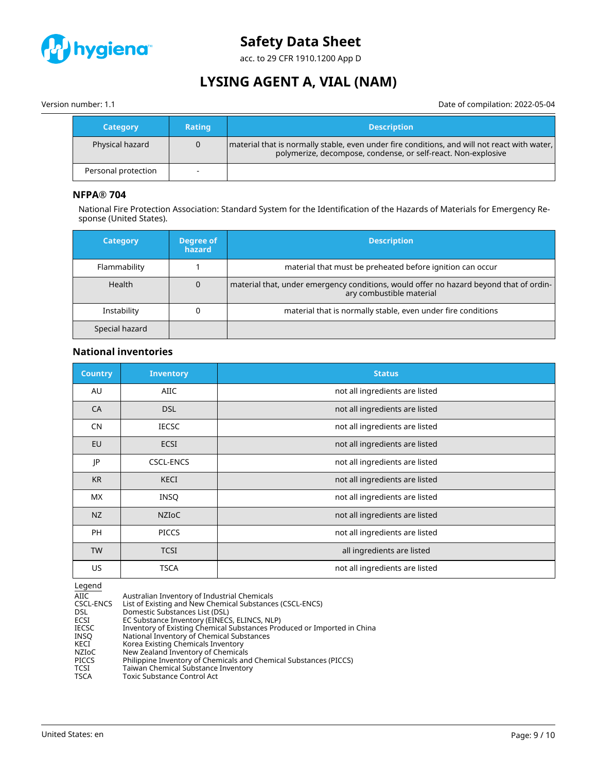

acc. to 29 CFR 1910.1200 App D

# **LYSING AGENT A, VIAL (NAM)**

Version number: 1.1 Date of compilation: 2022-05-04

| <b>Category</b>     | <b>Rating</b> | <b>Description</b>                                                                                                                                              |
|---------------------|---------------|-----------------------------------------------------------------------------------------------------------------------------------------------------------------|
| Physical hazard     |               | material that is normally stable, even under fire conditions, and will not react with water,  <br>polymerize, decompose, condense, or self-react. Non-explosive |
| Personal protection |               |                                                                                                                                                                 |

### **NFPA® 704**

National Fire Protection Association: Standard System for the Identification of the Hazards of Materials for Emergency Response (United States).

| <b>Category</b> | Degree of<br>hazard | <b>Description</b>                                                                                                 |
|-----------------|---------------------|--------------------------------------------------------------------------------------------------------------------|
| Flammability    |                     | material that must be preheated before ignition can occur                                                          |
| <b>Health</b>   | 0                   | material that, under emergency conditions, would offer no hazard beyond that of ordin-<br>ary combustible material |
| Instability     |                     | material that is normally stable, even under fire conditions                                                       |
| Special hazard  |                     |                                                                                                                    |

### **National inventories**

| <b>Country</b> | <b>Inventory</b> | <b>Status</b>                  |
|----------------|------------------|--------------------------------|
| AU             | AIIC             | not all ingredients are listed |
| CA             | <b>DSL</b>       | not all ingredients are listed |
| <b>CN</b>      | <b>IECSC</b>     | not all ingredients are listed |
| EU             | <b>ECSI</b>      | not all ingredients are listed |
| JP             | <b>CSCL-ENCS</b> | not all ingredients are listed |
| <b>KR</b>      | <b>KECI</b>      | not all ingredients are listed |
| <b>MX</b>      | <b>INSQ</b>      | not all ingredients are listed |
| NZ             | <b>NZIOC</b>     | not all ingredients are listed |
| <b>PH</b>      | <b>PICCS</b>     | not all ingredients are listed |
| <b>TW</b>      | <b>TCSI</b>      | all ingredients are listed     |
| US.            | <b>TSCA</b>      | not all ingredients are listed |

 $\frac{\text{Legend}}{\text{AIC}}$ AIIC Mustralian Inventory of Industrial Chemicals<br>CSCL-ENCS List of Existing and New Chemical Substance CSCL-ENCS List of Existing and New Chemical Substances (CSCL-ENCS)<br>DSL Domestic Substances List (DSL) DSL Domestic Substances List (DSL)<br>ECSI EC Substance Inventory (EINECS ECSI EC Substance Inventory (EINECS, ELINCS, NLP) IECSC Inventory of Existing Chemical Substances Produced or Imported in China INSQ National Inventory of Chemical Substances KECI Korea Existing Chemicals Inventory NZIoC New Zealand Inventory of Chemicals<br>PICCS Philippine Inventory of Chemicals and PICCS Philippine Inventory of Chemicals and Chemical Substances (PICCS)<br>TCSI Taiwan Chemical Substance Inventory TCSI Taiwan Chemical Substance Inventory<br>
TSCA Toxic Substance Control Act Toxic Substance Control Act